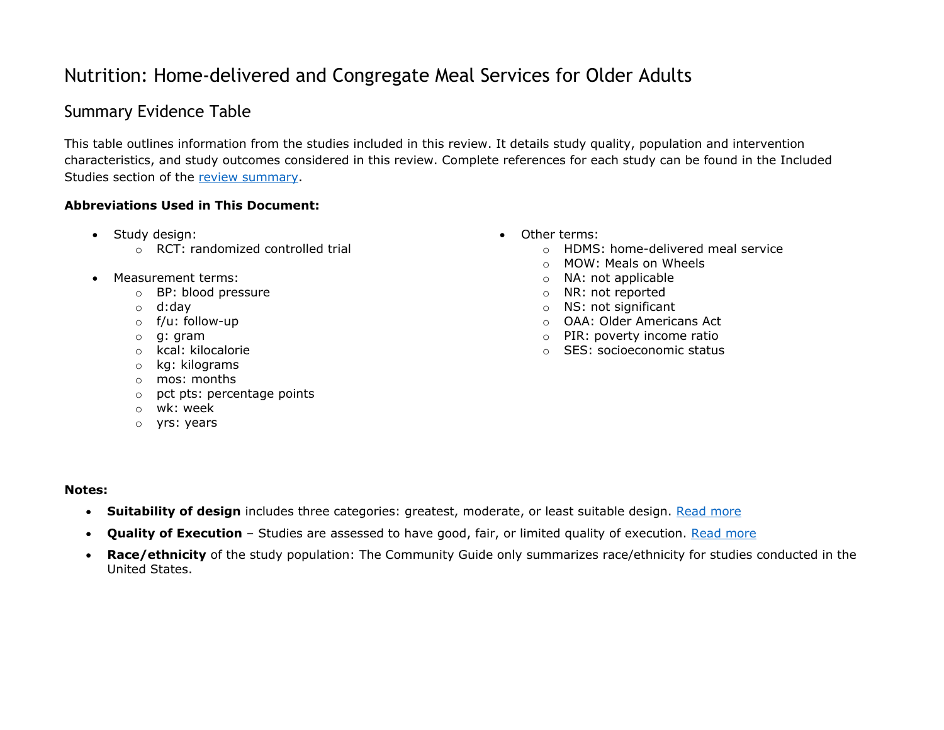## Nutrition: Home-delivered and Congregate Meal Services for Older Adults

## Summary Evidence Table

This table outlines information from the studies included in this review. It details study quality, population and intervention characteristics, and study outcomes considered in this review. Complete references for each study can be found in the Included Studies section of the [review summary.](https://www.thecommunityguide.org/findings/nutrition-home-delivered-and-congregate-meal-services-older-adults)

## **Abbreviations Used in This Document:**

- Study design:
	- o RCT: randomized controlled trial
- Measurement terms:
	- o BP: blood pressure
	- o d:day
	- o f/u: follow-up
	- o g: gram
	- o kcal: kilocalorie
	- o kg: kilograms
	- o mos: months
	- o pct pts: percentage points
	- o wk: week
	- o yrs: years
- Other terms:
	- o HDMS: home-delivered meal service
	- o MOW: Meals on Wheels
	- o NA: not applicable
	- o NR: not reported
	- o NS: not significant
	- o OAA: Older Americans Act
	- o PIR: poverty income ratio
	- o SES: socioeconomic status

## **Notes:**

- **Suitability of design** includes three categories: greatest, moderate, or least suitable design. [Read more](https://www.thecommunityguide.org/about/glossary#suitability-of-design)
- **Quality of Execution** Studies are assessed to have good, fair, or limited quality of execution. [Read more](https://www.thecommunityguide.org/about/glossary#quality-of-execution)
- **Race/ethnicity** of the study population: The Community Guide only summarizes race/ethnicity for studies conducted in the United States.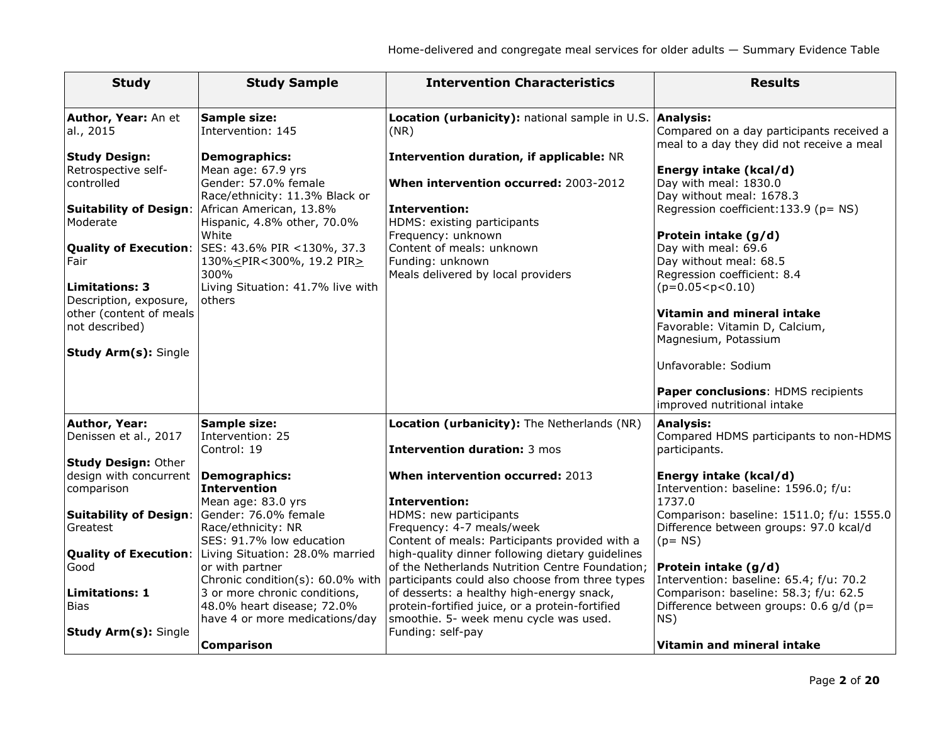| <b>Study</b>                                         | <b>Study Sample</b>                                                                              | <b>Intervention Characteristics</b>                                                                | <b>Results</b>                                                    |
|------------------------------------------------------|--------------------------------------------------------------------------------------------------|----------------------------------------------------------------------------------------------------|-------------------------------------------------------------------|
| Author, Year: An et<br>al., 2015                     | <b>Sample size:</b><br>Intervention: 145                                                         | Location (urbanicity): national sample in U.S. Analysis:<br>(NR)                                   | Compared on a day participants received a                         |
| <b>Study Design:</b>                                 | <b>Demographics:</b>                                                                             | <b>Intervention duration, if applicable: NR</b>                                                    | meal to a day they did not receive a meal                         |
| Retrospective self-<br>controlled                    | Mean age: 67.9 yrs<br>Gender: 57.0% female                                                       | When intervention occurred: 2003-2012                                                              | Energy intake (kcal/d)<br>Day with meal: 1830.0                   |
|                                                      | Race/ethnicity: 11.3% Black or                                                                   |                                                                                                    | Day without meal: 1678.3                                          |
| <b>Suitability of Design:</b>                        | African American, 13.8%                                                                          | <b>Intervention:</b>                                                                               | Regression coefficient: 133.9 (p= NS)                             |
| Moderate                                             | Hispanic, 4.8% other, 70.0%                                                                      | HDMS: existing participants                                                                        |                                                                   |
|                                                      | White                                                                                            | Frequency: unknown                                                                                 | Protein intake (g/d)                                              |
| Fair                                                 | Quality of Execution:  SES: 43.6% PIR <130%, 37.3<br>130% <pir<300%, 19.2="" pir=""></pir<300%,> | Content of meals: unknown<br>Funding: unknown                                                      | Day with meal: 69.6<br>Day without meal: 68.5                     |
|                                                      | 300%                                                                                             | Meals delivered by local providers                                                                 | Regression coefficient: 8.4                                       |
| <b>Limitations: 3</b>                                | Living Situation: 41.7% live with                                                                |                                                                                                    | $(p=0.05 < p < 0.10)$                                             |
| Description, exposure,                               | others                                                                                           |                                                                                                    |                                                                   |
| other (content of meals<br>not described)            |                                                                                                  |                                                                                                    | Vitamin and mineral intake<br>Favorable: Vitamin D, Calcium,      |
|                                                      |                                                                                                  |                                                                                                    | Magnesium, Potassium                                              |
| <b>Study Arm(s): Single</b>                          |                                                                                                  |                                                                                                    |                                                                   |
|                                                      |                                                                                                  |                                                                                                    | Unfavorable: Sodium                                               |
|                                                      |                                                                                                  |                                                                                                    | Paper conclusions: HDMS recipients<br>improved nutritional intake |
| <b>Author, Year:</b>                                 | <b>Sample size:</b>                                                                              | Location (urbanicity): The Netherlands (NR)                                                        | <b>Analysis:</b>                                                  |
| Denissen et al., 2017                                | Intervention: 25                                                                                 |                                                                                                    | Compared HDMS participants to non-HDMS                            |
|                                                      | Control: 19                                                                                      | <b>Intervention duration: 3 mos</b>                                                                | participants.                                                     |
| <b>Study Design: Other</b><br>design with concurrent | <b>Demographics:</b>                                                                             | When intervention occurred: 2013                                                                   | Energy intake (kcal/d)                                            |
| comparison                                           | <b>Intervention</b>                                                                              |                                                                                                    | Intervention: baseline: 1596.0; f/u:                              |
|                                                      | Mean age: 83.0 yrs                                                                               | <b>Intervention:</b>                                                                               | 1737.0                                                            |
| <b>Suitability of Design:</b>                        | Gender: 76.0% female                                                                             | HDMS: new participants                                                                             | Comparison: baseline: 1511.0; f/u: 1555.0                         |
| Greatest                                             | Race/ethnicity: NR<br>SES: 91.7% low education                                                   | Frequency: 4-7 meals/week                                                                          | Difference between groups: 97.0 kcal/d                            |
| <b>Quality of Execution:</b>                         | Living Situation: 28.0% married                                                                  | Content of meals: Participants provided with a<br>high-quality dinner following dietary guidelines | $(p = NS)$                                                        |
| Good                                                 | or with partner                                                                                  | of the Netherlands Nutrition Centre Foundation;                                                    | Protein intake (g/d)                                              |
|                                                      | Chronic condition(s): 60.0% with                                                                 | participants could also choose from three types                                                    | Intervention: baseline: 65.4; f/u: 70.2                           |
| <b>Limitations: 1</b>                                | 3 or more chronic conditions,                                                                    | of desserts: a healthy high-energy snack,                                                          | Comparison: baseline: 58.3; f/u: 62.5                             |
| <b>Bias</b>                                          | 48.0% heart disease; 72.0%<br>have 4 or more medications/day                                     | protein-fortified juice, or a protein-fortified<br>smoothie. 5- week menu cycle was used.          | Difference between groups: 0.6 g/d (p=<br>NS)                     |
| <b>Study Arm(s): Single</b>                          |                                                                                                  | Funding: self-pay                                                                                  |                                                                   |
|                                                      | <b>Comparison</b>                                                                                |                                                                                                    | Vitamin and mineral intake                                        |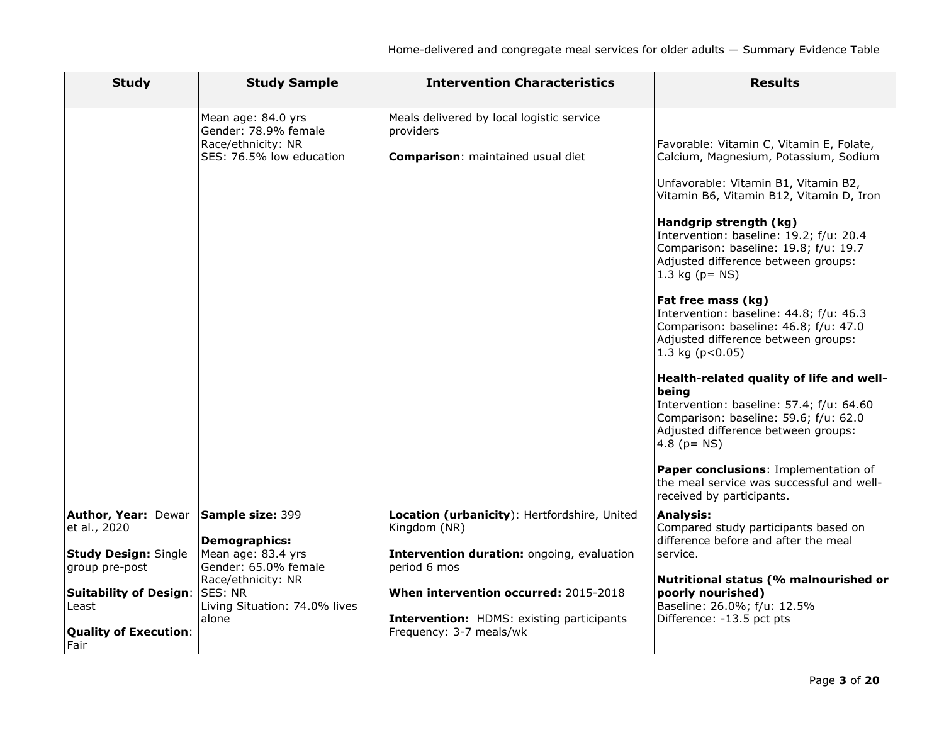| <b>Study</b>                                  | <b>Study Sample</b>                                                                          | <b>Intervention Characteristics</b>                                                         | <b>Results</b>                                                                                                                                                                                                                                                                                                                                                                                                                                                                                                                                                                                                                                                                                                                                                                                                      |
|-----------------------------------------------|----------------------------------------------------------------------------------------------|---------------------------------------------------------------------------------------------|---------------------------------------------------------------------------------------------------------------------------------------------------------------------------------------------------------------------------------------------------------------------------------------------------------------------------------------------------------------------------------------------------------------------------------------------------------------------------------------------------------------------------------------------------------------------------------------------------------------------------------------------------------------------------------------------------------------------------------------------------------------------------------------------------------------------|
|                                               | Mean age: 84.0 yrs<br>Gender: 78.9% female<br>Race/ethnicity: NR<br>SES: 76.5% low education | Meals delivered by local logistic service<br>providers<br>Comparison: maintained usual diet | Favorable: Vitamin C, Vitamin E, Folate,<br>Calcium, Magnesium, Potassium, Sodium<br>Unfavorable: Vitamin B1, Vitamin B2,<br>Vitamin B6, Vitamin B12, Vitamin D, Iron<br>Handgrip strength (kg)<br>Intervention: baseline: 19.2; f/u: 20.4<br>Comparison: baseline: 19.8; f/u: 19.7<br>Adjusted difference between groups:<br>1.3 kg $(p = NS)$<br>Fat free mass (kg)<br>Intervention: baseline: 44.8; f/u: 46.3<br>Comparison: baseline: 46.8; f/u: 47.0<br>Adjusted difference between groups:<br>1.3 kg ( $p < 0.05$ )<br>Health-related quality of life and well-<br>being<br>Intervention: baseline: 57.4; f/u: 64.60<br>Comparison: baseline: 59.6; f/u: 62.0<br>Adjusted difference between groups:<br>4.8 ( $p = NS$ )<br>Paper conclusions: Implementation of<br>the meal service was successful and well- |
| <b>Author, Year: Dewar</b>                    | Sample size: 399                                                                             | Location (urbanicity): Hertfordshire, United                                                | received by participants.<br><b>Analysis:</b>                                                                                                                                                                                                                                                                                                                                                                                                                                                                                                                                                                                                                                                                                                                                                                       |
| et al., 2020                                  | <b>Demographics:</b>                                                                         | Kingdom (NR)                                                                                | Compared study participants based on<br>difference before and after the meal                                                                                                                                                                                                                                                                                                                                                                                                                                                                                                                                                                                                                                                                                                                                        |
| <b>Study Design: Single</b><br>group pre-post | Mean age: 83.4 yrs<br>Gender: 65.0% female                                                   | Intervention duration: ongoing, evaluation<br>period 6 mos                                  | service.                                                                                                                                                                                                                                                                                                                                                                                                                                                                                                                                                                                                                                                                                                                                                                                                            |
| <b>Suitability of Design:</b>                 | Race/ethnicity: NR<br><b>SES: NR</b>                                                         | When intervention occurred: 2015-2018                                                       | Nutritional status (% malnourished or<br>poorly nourished)                                                                                                                                                                                                                                                                                                                                                                                                                                                                                                                                                                                                                                                                                                                                                          |
| Least                                         | Living Situation: 74.0% lives                                                                |                                                                                             | Baseline: 26.0%; f/u: 12.5%                                                                                                                                                                                                                                                                                                                                                                                                                                                                                                                                                                                                                                                                                                                                                                                         |
| <b>Quality of Execution:</b><br>l Fair        | alone                                                                                        | Intervention: HDMS: existing participants<br>Frequency: 3-7 meals/wk                        | Difference: -13.5 pct pts                                                                                                                                                                                                                                                                                                                                                                                                                                                                                                                                                                                                                                                                                                                                                                                           |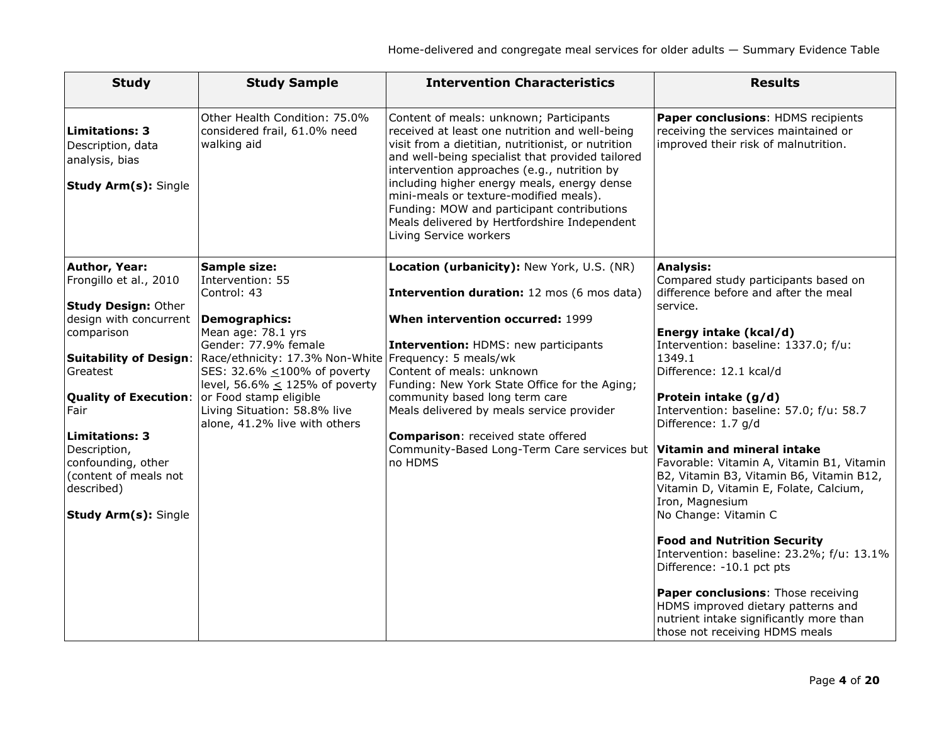| <b>Study</b>                                                                                | <b>Study Sample</b>                                                           | <b>Intervention Characteristics</b>                                                                                                                                                                                                                                                                                                                                                                                                                                 | <b>Results</b>                                                                                                                                        |
|---------------------------------------------------------------------------------------------|-------------------------------------------------------------------------------|---------------------------------------------------------------------------------------------------------------------------------------------------------------------------------------------------------------------------------------------------------------------------------------------------------------------------------------------------------------------------------------------------------------------------------------------------------------------|-------------------------------------------------------------------------------------------------------------------------------------------------------|
| <b>Limitations: 3</b><br>Description, data<br>analysis, bias<br><b>Study Arm(s): Single</b> | Other Health Condition: 75.0%<br>considered frail, 61.0% need<br>walking aid  | Content of meals: unknown; Participants<br>received at least one nutrition and well-being<br>visit from a dietitian, nutritionist, or nutrition<br>and well-being specialist that provided tailored<br>intervention approaches (e.g., nutrition by<br>including higher energy meals, energy dense<br>mini-meals or texture-modified meals).<br>Funding: MOW and participant contributions<br>Meals delivered by Hertfordshire Independent<br>Living Service workers | Paper conclusions: HDMS recipients<br>receiving the services maintained or<br>improved their risk of malnutrition.                                    |
| Author, Year:<br>Frongillo et al., 2010                                                     | <b>Sample size:</b><br>Intervention: 55<br>Control: 43                        | Location (urbanicity): New York, U.S. (NR)<br>Intervention duration: 12 mos (6 mos data)                                                                                                                                                                                                                                                                                                                                                                            | <b>Analysis:</b><br>Compared study participants based on<br>difference before and after the meal                                                      |
| <b>Study Design: Other</b>                                                                  |                                                                               |                                                                                                                                                                                                                                                                                                                                                                                                                                                                     | service.                                                                                                                                              |
| design with concurrent                                                                      | <b>Demographics:</b>                                                          | When intervention occurred: 1999                                                                                                                                                                                                                                                                                                                                                                                                                                    |                                                                                                                                                       |
| comparison                                                                                  | Mean age: 78.1 yrs                                                            |                                                                                                                                                                                                                                                                                                                                                                                                                                                                     | Energy intake (kcal/d)                                                                                                                                |
| <b>Suitability of Design:</b>                                                               | Gender: 77.9% female<br>Race/ethnicity: 17.3% Non-White Frequency: 5 meals/wk | Intervention: HDMS: new participants                                                                                                                                                                                                                                                                                                                                                                                                                                | Intervention: baseline: 1337.0; f/u:<br>1349.1                                                                                                        |
| Greatest                                                                                    | SES: 32.6% <100% of poverty                                                   | Content of meals: unknown                                                                                                                                                                                                                                                                                                                                                                                                                                           | Difference: 12.1 kcal/d                                                                                                                               |
|                                                                                             | level, 56.6% $\leq$ 125% of poverty                                           | Funding: New York State Office for the Aging;                                                                                                                                                                                                                                                                                                                                                                                                                       |                                                                                                                                                       |
| <b>Quality of Execution:</b>                                                                | or Food stamp eligible                                                        | community based long term care                                                                                                                                                                                                                                                                                                                                                                                                                                      | Protein intake (g/d)                                                                                                                                  |
| Fair                                                                                        | Living Situation: 58.8% live<br>alone, 41.2% live with others                 | Meals delivered by meals service provider                                                                                                                                                                                                                                                                                                                                                                                                                           | Intervention: baseline: 57.0; f/u: 58.7<br>Difference: 1.7 g/d                                                                                        |
| <b>Limitations: 3</b>                                                                       |                                                                               | <b>Comparison:</b> received state offered                                                                                                                                                                                                                                                                                                                                                                                                                           |                                                                                                                                                       |
| Description,                                                                                |                                                                               | Community-Based Long-Term Care services but                                                                                                                                                                                                                                                                                                                                                                                                                         | Vitamin and mineral intake                                                                                                                            |
| confounding, other<br>(content of meals not                                                 |                                                                               | no HDMS                                                                                                                                                                                                                                                                                                                                                                                                                                                             | Favorable: Vitamin A, Vitamin B1, Vitamin<br>B2, Vitamin B3, Vitamin B6, Vitamin B12,                                                                 |
| described)                                                                                  |                                                                               |                                                                                                                                                                                                                                                                                                                                                                                                                                                                     | Vitamin D, Vitamin E, Folate, Calcium,                                                                                                                |
|                                                                                             |                                                                               |                                                                                                                                                                                                                                                                                                                                                                                                                                                                     | Iron, Magnesium                                                                                                                                       |
| Study Arm(s): Single                                                                        |                                                                               |                                                                                                                                                                                                                                                                                                                                                                                                                                                                     | No Change: Vitamin C                                                                                                                                  |
|                                                                                             |                                                                               |                                                                                                                                                                                                                                                                                                                                                                                                                                                                     | <b>Food and Nutrition Security</b>                                                                                                                    |
|                                                                                             |                                                                               |                                                                                                                                                                                                                                                                                                                                                                                                                                                                     | Intervention: baseline: 23.2%; f/u: 13.1%<br>Difference: -10.1 pct pts                                                                                |
|                                                                                             |                                                                               |                                                                                                                                                                                                                                                                                                                                                                                                                                                                     | Paper conclusions: Those receiving<br>HDMS improved dietary patterns and<br>nutrient intake significantly more than<br>those not receiving HDMS meals |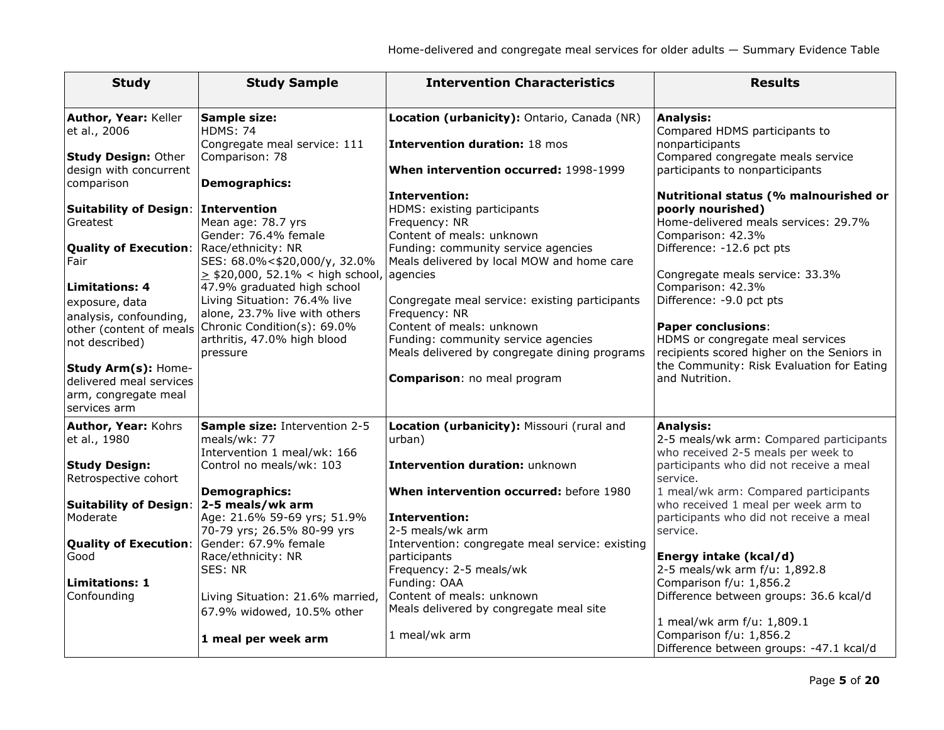| <b>Study</b>                                                                           | <b>Study Sample</b>                                                                                                           | <b>Intervention Characteristics</b>                                                                                             | <b>Results</b>                                                                                                                     |
|----------------------------------------------------------------------------------------|-------------------------------------------------------------------------------------------------------------------------------|---------------------------------------------------------------------------------------------------------------------------------|------------------------------------------------------------------------------------------------------------------------------------|
| Author, Year: Keller<br>et al., 2006                                                   | <b>Sample size:</b><br><b>HDMS: 74</b><br>Congregate meal service: 111                                                        | Location (urbanicity): Ontario, Canada (NR)<br><b>Intervention duration: 18 mos</b>                                             | <b>Analysis:</b><br>Compared HDMS participants to<br>nonparticipants                                                               |
| <b>Study Design: Other</b><br>design with concurrent                                   | Comparison: 78                                                                                                                | When intervention occurred: 1998-1999                                                                                           | Compared congregate meals service<br>participants to nonparticipants                                                               |
| comparison                                                                             | <b>Demographics:</b>                                                                                                          | <b>Intervention:</b>                                                                                                            | Nutritional status (% malnourished or                                                                                              |
| <b>Suitability of Design:</b><br>Greatest                                              | Intervention<br>Mean age: 78.7 yrs<br>Gender: 76.4% female                                                                    | HDMS: existing participants<br>Frequency: NR<br>Content of meals: unknown                                                       | poorly nourished)<br>Home-delivered meals services: 29.7%<br>Comparison: 42.3%                                                     |
| <b>Quality of Execution:</b><br>Fair                                                   | Race/ethnicity: NR<br>SES: 68.0%<\$20,000/y, 32.0%<br>$\ge$ \$20,000, 52.1% < high school,                                    | Funding: community service agencies<br>Meals delivered by local MOW and home care<br>agencies                                   | Difference: -12.6 pct pts<br>Congregate meals service: 33.3%                                                                       |
| <b>Limitations: 4</b><br>exposure, data<br>analysis, confounding,                      | 47.9% graduated high school<br>Living Situation: 76.4% live<br>alone, 23.7% live with others                                  | Congregate meal service: existing participants<br>Frequency: NR                                                                 | Comparison: 42.3%<br>Difference: -9.0 pct pts                                                                                      |
| other (content of meals<br>not described)                                              | Chronic Condition(s): 69.0%<br>arthritis, 47.0% high blood<br>pressure                                                        | Content of meals: unknown<br>Funding: community service agencies<br>Meals delivered by congregate dining programs               | <b>Paper conclusions:</b><br>HDMS or congregate meal services<br>recipients scored higher on the Seniors in                        |
| Study Arm(s): Home-<br>delivered meal services<br>arm, congregate meal<br>services arm |                                                                                                                               | Comparison: no meal program                                                                                                     | the Community: Risk Evaluation for Eating<br>and Nutrition.                                                                        |
| Author, Year: Kohrs<br>et al., 1980                                                    | Sample size: Intervention 2-5<br>meals/wk: 77<br>Intervention 1 meal/wk: 166                                                  | Location (urbanicity): Missouri (rural and<br>urban)                                                                            | <b>Analysis:</b><br>2-5 meals/wk arm: Compared participants<br>who received 2-5 meals per week to                                  |
| <b>Study Design:</b><br>Retrospective cohort                                           | Control no meals/wk: 103                                                                                                      | Intervention duration: unknown                                                                                                  | participants who did not receive a meal<br>service.                                                                                |
| <b>Suitability of Design:</b><br>Moderate<br><b>Quality of Execution:</b>              | <b>Demographics:</b><br>2-5 meals/wk arm<br>Age: 21.6% 59-69 yrs; 51.9%<br>70-79 yrs; 26.5% 80-99 yrs<br>Gender: 67.9% female | When intervention occurred: before 1980<br>Intervention:<br>2-5 meals/wk arm<br>Intervention: congregate meal service: existing | 1 meal/wk arm: Compared participants<br>who received 1 meal per week arm to<br>participants who did not receive a meal<br>service. |
| Good                                                                                   | Race/ethnicity: NR<br>SES: NR                                                                                                 | participants<br>Frequency: 2-5 meals/wk                                                                                         | Energy intake (kcal/d)<br>2-5 meals/wk arm f/u: 1,892.8                                                                            |
| <b>Limitations: 1</b><br>Confounding                                                   | Living Situation: 21.6% married,<br>67.9% widowed, 10.5% other                                                                | Funding: OAA<br>Content of meals: unknown<br>Meals delivered by congregate meal site                                            | Comparison f/u: 1,856.2<br>Difference between groups: 36.6 kcal/d<br>1 meal/wk arm f/u: 1,809.1                                    |
|                                                                                        | 1 meal per week arm                                                                                                           | 1 meal/wk arm                                                                                                                   | Comparison f/u: 1,856.2<br>Difference between groups: -47.1 kcal/d                                                                 |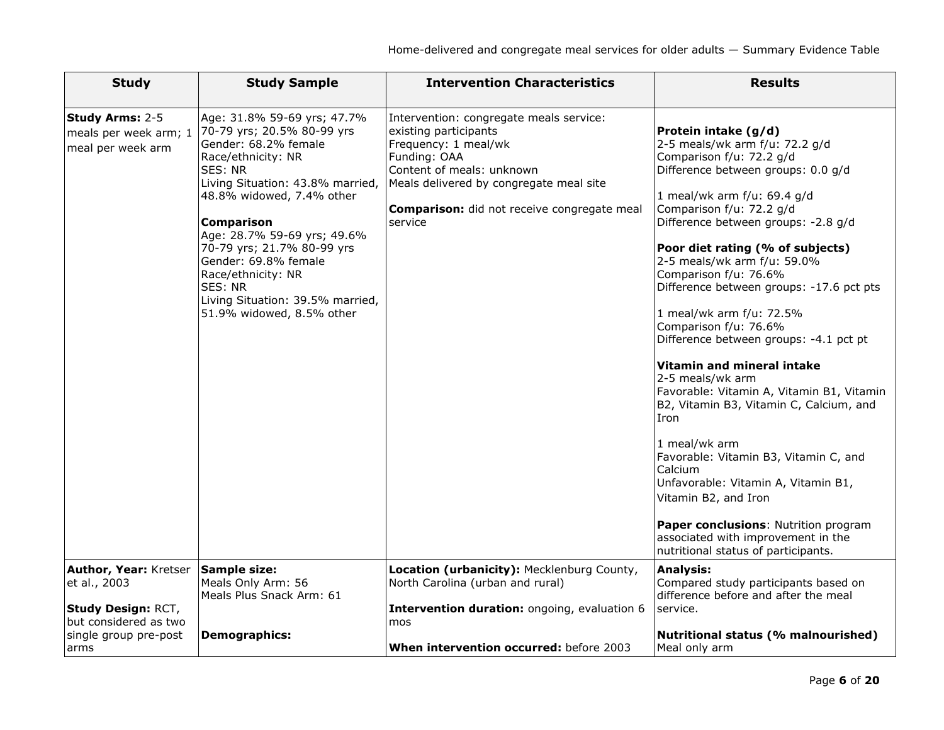| <b>Study</b>                                                                                                  | <b>Study Sample</b>                                                                                                                                                                                                                                                                                                                                                                             | <b>Intervention Characteristics</b>                                                                                                                                                                                                        | <b>Results</b>                                                                                                                                                                                                                                                                                                                                                                                                                                                                                                                                                                                                                                                                                                                                                                                                                                                               |
|---------------------------------------------------------------------------------------------------------------|-------------------------------------------------------------------------------------------------------------------------------------------------------------------------------------------------------------------------------------------------------------------------------------------------------------------------------------------------------------------------------------------------|--------------------------------------------------------------------------------------------------------------------------------------------------------------------------------------------------------------------------------------------|------------------------------------------------------------------------------------------------------------------------------------------------------------------------------------------------------------------------------------------------------------------------------------------------------------------------------------------------------------------------------------------------------------------------------------------------------------------------------------------------------------------------------------------------------------------------------------------------------------------------------------------------------------------------------------------------------------------------------------------------------------------------------------------------------------------------------------------------------------------------------|
| Study Arms: 2-5<br>meals per week arm; 1<br>meal per week arm                                                 | Age: 31.8% 59-69 yrs; 47.7%<br>70-79 yrs; 20.5% 80-99 yrs<br>Gender: 68.2% female<br>Race/ethnicity: NR<br>SES: NR<br>Living Situation: 43.8% married,<br>48.8% widowed, 7.4% other<br><b>Comparison</b><br>Age: 28.7% 59-69 yrs; 49.6%<br>70-79 yrs; 21.7% 80-99 yrs<br>Gender: 69.8% female<br>Race/ethnicity: NR<br>SES: NR<br>Living Situation: 39.5% married,<br>51.9% widowed, 8.5% other | Intervention: congregate meals service:<br>existing participants<br>Frequency: 1 meal/wk<br>Funding: OAA<br>Content of meals: unknown<br>Meals delivered by congregate meal site<br>Comparison: did not receive congregate meal<br>service | Protein intake (g/d)<br>2-5 meals/wk arm f/u: 72.2 g/d<br>Comparison f/u: 72.2 g/d<br>Difference between groups: 0.0 g/d<br>1 meal/wk arm f/u: 69.4 g/d<br>Comparison f/u: 72.2 g/d<br>Difference between groups: -2.8 g/d<br>Poor diet rating (% of subjects)<br>2-5 meals/wk arm f/u: 59.0%<br>Comparison f/u: 76.6%<br>Difference between groups: -17.6 pct pts<br>1 meal/wk arm f/u: 72.5%<br>Comparison f/u: 76.6%<br>Difference between groups: -4.1 pct pt<br>Vitamin and mineral intake<br>2-5 meals/wk arm<br>Favorable: Vitamin A, Vitamin B1, Vitamin<br>B2, Vitamin B3, Vitamin C, Calcium, and<br>Iron<br>1 meal/wk arm<br>Favorable: Vitamin B3, Vitamin C, and<br>Calcium<br>Unfavorable: Vitamin A, Vitamin B1,<br>Vitamin B2, and Iron<br>Paper conclusions: Nutrition program<br>associated with improvement in the<br>nutritional status of participants. |
| Author, Year: Kretser<br>et al., 2003<br>Study Design: RCT,<br>but considered as two<br>single group pre-post | <b>Sample size:</b><br>Meals Only Arm: 56<br>Meals Plus Snack Arm: 61<br><b>Demographics:</b>                                                                                                                                                                                                                                                                                                   | Location (urbanicity): Mecklenburg County,<br>North Carolina (urban and rural)<br>Intervention duration: ongoing, evaluation 6<br>mos                                                                                                      | <b>Analysis:</b><br>Compared study participants based on<br>difference before and after the meal<br>service.<br>Nutritional status (% malnourished)                                                                                                                                                                                                                                                                                                                                                                                                                                                                                                                                                                                                                                                                                                                          |
| arms                                                                                                          |                                                                                                                                                                                                                                                                                                                                                                                                 | When intervention occurred: before 2003                                                                                                                                                                                                    | Meal only arm                                                                                                                                                                                                                                                                                                                                                                                                                                                                                                                                                                                                                                                                                                                                                                                                                                                                |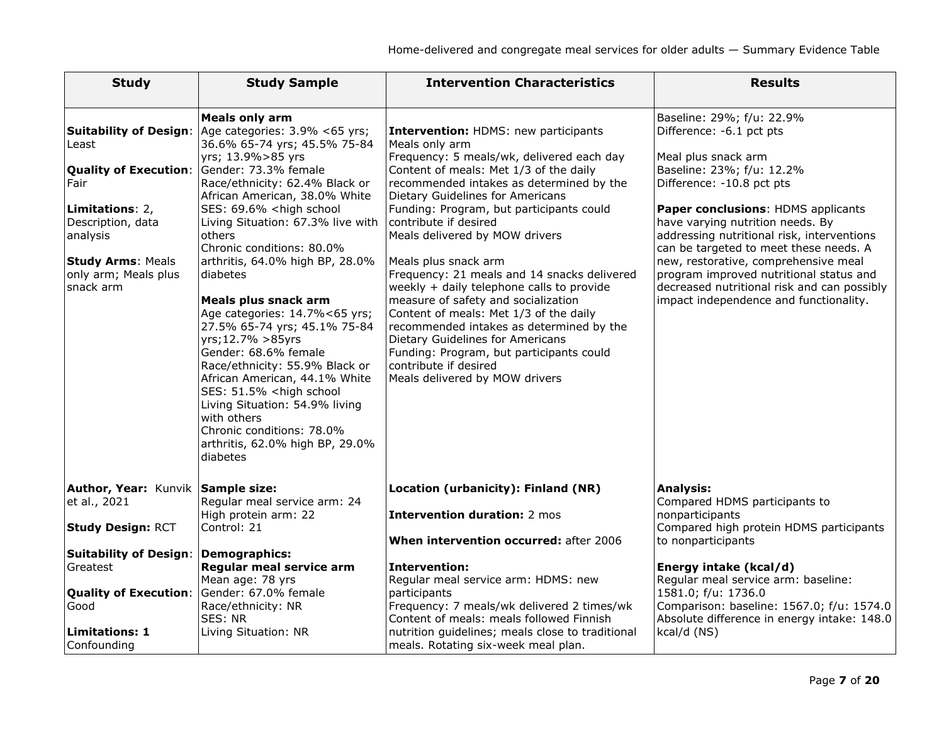| <b>Study</b>                                                                                                                                                                                        | <b>Study Sample</b>                                                                                                                                                                                                                                                                                                                                                                                                                                                                                                                                                                                                                                                                                                                                                      | <b>Intervention Characteristics</b>                                                                                                                                                                                                                                                                                                                                                                                                                                                                                                                                                                                                                                                                                                     | <b>Results</b>                                                                                                                                                                                                                                                                                                                                                                                                                                                                       |
|-----------------------------------------------------------------------------------------------------------------------------------------------------------------------------------------------------|--------------------------------------------------------------------------------------------------------------------------------------------------------------------------------------------------------------------------------------------------------------------------------------------------------------------------------------------------------------------------------------------------------------------------------------------------------------------------------------------------------------------------------------------------------------------------------------------------------------------------------------------------------------------------------------------------------------------------------------------------------------------------|-----------------------------------------------------------------------------------------------------------------------------------------------------------------------------------------------------------------------------------------------------------------------------------------------------------------------------------------------------------------------------------------------------------------------------------------------------------------------------------------------------------------------------------------------------------------------------------------------------------------------------------------------------------------------------------------------------------------------------------------|--------------------------------------------------------------------------------------------------------------------------------------------------------------------------------------------------------------------------------------------------------------------------------------------------------------------------------------------------------------------------------------------------------------------------------------------------------------------------------------|
| <b>Suitability of Design:</b><br>Least<br><b>Quality of Execution:</b><br>Fair<br>Limitations: 2,<br>Description, data<br>analysis<br><b>Study Arms: Meals</b><br>only arm; Meals plus<br>snack arm | <b>Meals only arm</b><br>Age categories: 3.9% <65 yrs;<br>36.6% 65-74 yrs; 45.5% 75-84<br>yrs; 13.9%>85 yrs<br>Gender: 73.3% female<br>Race/ethnicity: 62.4% Black or<br>African American, 38.0% White<br>SES: 69.6% <high school<br="">Living Situation: 67.3% live with<br/>others<br/>Chronic conditions: 80.0%<br/>arthritis, 64.0% high BP, 28.0%<br/>diabetes<br/>Meals plus snack arm<br/>Age categories: 14.7%&lt;65 yrs;<br/>27.5% 65-74 yrs; 45.1% 75-84<br/>yrs; 12.7% &gt; 85yrs<br/>Gender: 68.6% female<br/>Race/ethnicity: 55.9% Black or<br/>African American, 44.1% White<br/>SES: 51.5% <high school<br="">Living Situation: 54.9% living<br/>with others<br/>Chronic conditions: 78.0%<br/>arthritis, 62.0% high BP, 29.0%<br/>diabetes</high></high> | <b>Intervention: HDMS: new participants</b><br>Meals only arm<br>Frequency: 5 meals/wk, delivered each day<br>Content of meals: Met 1/3 of the daily<br>recommended intakes as determined by the<br>Dietary Guidelines for Americans<br>Funding: Program, but participants could<br>contribute if desired<br>Meals delivered by MOW drivers<br>Meals plus snack arm<br>Frequency: 21 meals and 14 snacks delivered<br>weekly + daily telephone calls to provide<br>measure of safety and socialization<br>Content of meals: Met 1/3 of the daily<br>recommended intakes as determined by the<br>Dietary Guidelines for Americans<br>Funding: Program, but participants could<br>contribute if desired<br>Meals delivered by MOW drivers | Baseline: 29%; f/u: 22.9%<br>Difference: -6.1 pct pts<br>Meal plus snack arm<br>Baseline: 23%; f/u: 12.2%<br>Difference: -10.8 pct pts<br>Paper conclusions: HDMS applicants<br>have varying nutrition needs. By<br>addressing nutritional risk, interventions<br>can be targeted to meet these needs. A<br>new, restorative, comprehensive meal<br>program improved nutritional status and<br>decreased nutritional risk and can possibly<br>impact independence and functionality. |
| Author, Year: Kunvik Sample size:<br>et al., 2021<br><b>Study Design: RCT</b>                                                                                                                       | Regular meal service arm: 24<br>High protein arm: 22<br>Control: 21                                                                                                                                                                                                                                                                                                                                                                                                                                                                                                                                                                                                                                                                                                      | Location (urbanicity): Finland (NR)<br><b>Intervention duration: 2 mos</b><br>When intervention occurred: after 2006                                                                                                                                                                                                                                                                                                                                                                                                                                                                                                                                                                                                                    | <b>Analysis:</b><br>Compared HDMS participants to<br>nonparticipants<br>Compared high protein HDMS participants<br>to nonparticipants                                                                                                                                                                                                                                                                                                                                                |
| <b>Suitability of Design:</b><br>Greatest<br><b>Quality of Execution:</b><br>Good<br><b>Limitations: 1</b><br>Confounding                                                                           | <b>Demographics:</b><br>Regular meal service arm<br>Mean age: 78 yrs<br>Gender: 67.0% female<br>Race/ethnicity: NR<br>SES: NR<br>Living Situation: NR                                                                                                                                                                                                                                                                                                                                                                                                                                                                                                                                                                                                                    | <b>Intervention:</b><br>Regular meal service arm: HDMS: new<br>participants<br>Frequency: 7 meals/wk delivered 2 times/wk<br>Content of meals: meals followed Finnish<br>nutrition guidelines; meals close to traditional<br>meals. Rotating six-week meal plan.                                                                                                                                                                                                                                                                                                                                                                                                                                                                        | Energy intake (kcal/d)<br>Regular meal service arm: baseline:<br>1581.0; f/u: 1736.0<br>Comparison: baseline: 1567.0; f/u: 1574.0<br>Absolute difference in energy intake: 148.0<br>kcal/d (NS)                                                                                                                                                                                                                                                                                      |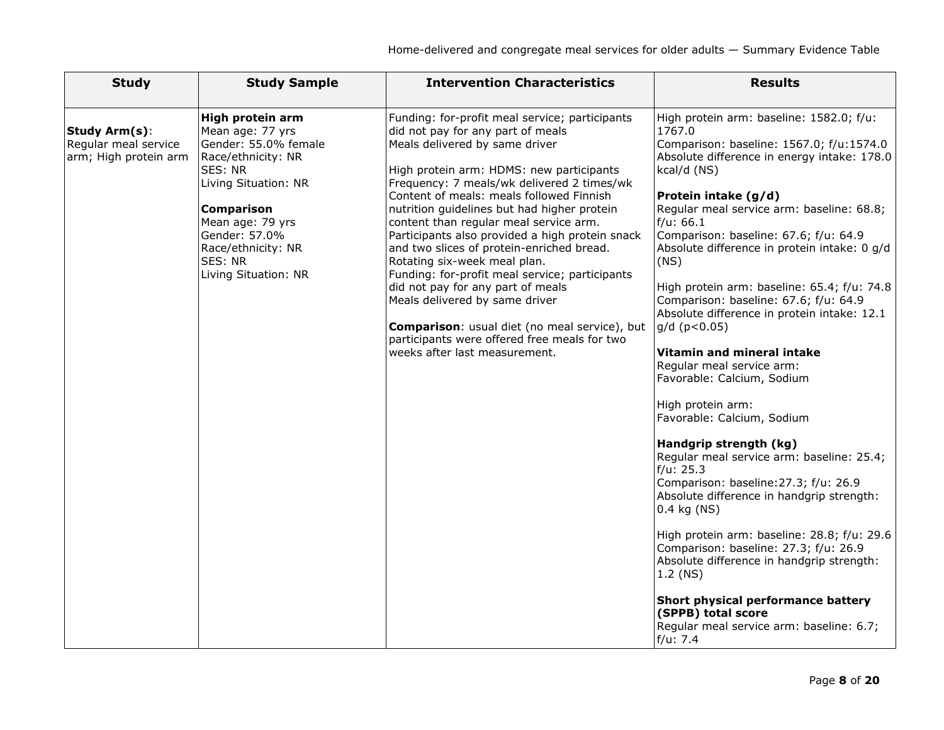| <b>Study</b>                                                          | <b>Study Sample</b>                                                                                                                                                                                                                      | <b>Intervention Characteristics</b>                                                                                                                                                                                                                                                                                                                                                                                                                                                                                                                                                                                                                                                                                                             | <b>Results</b>                                                                                                                                                                                                                                                                                                                                                                                                                                                                                                                                                                                                                                                                                                                                                                                                                                                                                                                                                                                                                                                                                                                   |
|-----------------------------------------------------------------------|------------------------------------------------------------------------------------------------------------------------------------------------------------------------------------------------------------------------------------------|-------------------------------------------------------------------------------------------------------------------------------------------------------------------------------------------------------------------------------------------------------------------------------------------------------------------------------------------------------------------------------------------------------------------------------------------------------------------------------------------------------------------------------------------------------------------------------------------------------------------------------------------------------------------------------------------------------------------------------------------------|----------------------------------------------------------------------------------------------------------------------------------------------------------------------------------------------------------------------------------------------------------------------------------------------------------------------------------------------------------------------------------------------------------------------------------------------------------------------------------------------------------------------------------------------------------------------------------------------------------------------------------------------------------------------------------------------------------------------------------------------------------------------------------------------------------------------------------------------------------------------------------------------------------------------------------------------------------------------------------------------------------------------------------------------------------------------------------------------------------------------------------|
| <b>Study Arm(s):</b><br>Regular meal service<br>arm; High protein arm | High protein arm<br>Mean age: 77 yrs<br>Gender: 55.0% female<br>Race/ethnicity: NR<br>SES: NR<br>Living Situation: NR<br><b>Comparison</b><br>Mean age: 79 yrs<br>Gender: 57.0%<br>Race/ethnicity: NR<br>SES: NR<br>Living Situation: NR | Funding: for-profit meal service; participants<br>did not pay for any part of meals<br>Meals delivered by same driver<br>High protein arm: HDMS: new participants<br>Frequency: 7 meals/wk delivered 2 times/wk<br>Content of meals: meals followed Finnish<br>nutrition guidelines but had higher protein<br>content than regular meal service arm.<br>Participants also provided a high protein snack<br>and two slices of protein-enriched bread.<br>Rotating six-week meal plan.<br>Funding: for-profit meal service; participants<br>did not pay for any part of meals<br>Meals delivered by same driver<br>Comparison: usual diet (no meal service), but<br>participants were offered free meals for two<br>weeks after last measurement. | High protein arm: baseline: 1582.0; f/u:<br>1767.0<br>Comparison: baseline: 1567.0; f/u:1574.0<br>Absolute difference in energy intake: 178.0<br>kcal/d (NS)<br>Protein intake (g/d)<br>Regular meal service arm: baseline: 68.8;<br>$f/u$ : 66.1<br>Comparison: baseline: 67.6; f/u: 64.9<br>Absolute difference in protein intake: 0 g/d<br>(NS)<br>High protein arm: baseline: 65.4; f/u: 74.8<br>Comparison: baseline: 67.6; f/u: 64.9<br>Absolute difference in protein intake: 12.1<br>$g/d$ ( $p < 0.05$ )<br>Vitamin and mineral intake<br>Regular meal service arm:<br>Favorable: Calcium, Sodium<br>High protein arm:<br>Favorable: Calcium, Sodium<br>Handgrip strength (kg)<br>Regular meal service arm: baseline: 25.4;<br>f/u: 25.3<br>Comparison: baseline: 27.3; f/u: 26.9<br>Absolute difference in handgrip strength:<br>0.4 kg (NS)<br>High protein arm: baseline: 28.8; f/u: 29.6<br>Comparison: baseline: 27.3; f/u: 26.9<br>Absolute difference in handgrip strength:<br>$1.2$ (NS)<br>Short physical performance battery<br>(SPPB) total score<br>Regular meal service arm: baseline: 6.7;<br>$f/u$ : 7.4 |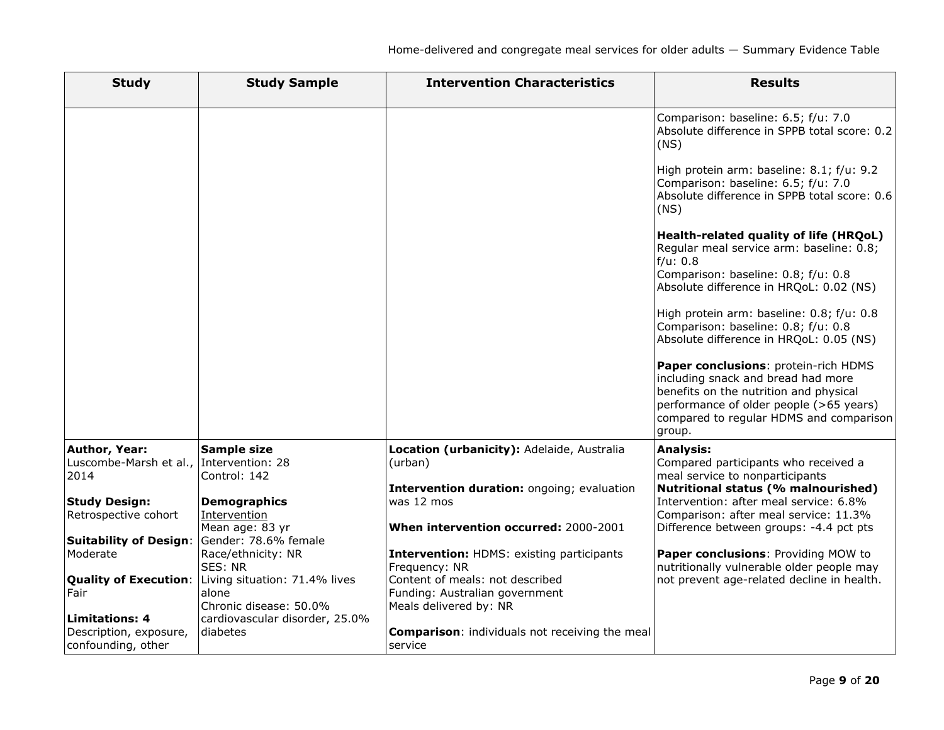| <b>Study</b>                                                          | <b>Study Sample</b>                                              | <b>Intervention Characteristics</b>                                                                 | <b>Results</b>                                                                                                                                                                                                                                                                                                                                                                                                              |
|-----------------------------------------------------------------------|------------------------------------------------------------------|-----------------------------------------------------------------------------------------------------|-----------------------------------------------------------------------------------------------------------------------------------------------------------------------------------------------------------------------------------------------------------------------------------------------------------------------------------------------------------------------------------------------------------------------------|
|                                                                       |                                                                  |                                                                                                     | Comparison: baseline: 6.5; f/u: 7.0<br>Absolute difference in SPPB total score: 0.2<br>(NS)<br>High protein arm: baseline: 8.1; f/u: 9.2<br>Comparison: baseline: 6.5; f/u: 7.0<br>Absolute difference in SPPB total score: 0.6<br>(NS)<br>Health-related quality of life (HRQoL)<br>Regular meal service arm: baseline: 0.8;<br>f/u: 0.8<br>Comparison: baseline: 0.8; f/u: 0.8<br>Absolute difference in HRQoL: 0.02 (NS) |
|                                                                       |                                                                  |                                                                                                     | High protein arm: baseline: 0.8; f/u: 0.8<br>Comparison: baseline: 0.8; f/u: 0.8<br>Absolute difference in HRQoL: 0.05 (NS)<br>Paper conclusions: protein-rich HDMS<br>including snack and bread had more<br>benefits on the nutrition and physical<br>performance of older people (>65 years)<br>compared to regular HDMS and comparison<br>group.                                                                         |
| <b>Author, Year:</b><br>Luscombe-Marsh et al.,<br>2014                | <b>Sample size</b><br>Intervention: 28<br>Control: 142           | Location (urbanicity): Adelaide, Australia<br>(urban)<br>Intervention duration: ongoing; evaluation | <b>Analysis:</b><br>Compared participants who received a<br>meal service to nonparticipants<br>Nutritional status (% malnourished)                                                                                                                                                                                                                                                                                          |
| <b>Study Design:</b><br>Retrospective cohort                          | <b>Demographics</b><br>Intervention<br>Mean age: 83 yr           | was 12 mos<br>When intervention occurred: 2000-2001                                                 | Intervention: after meal service: 6.8%<br>Comparison: after meal service: 11.3%<br>Difference between groups: -4.4 pct pts                                                                                                                                                                                                                                                                                                  |
| <b>Suitability of Design:</b><br>Moderate                             | Gender: 78.6% female<br>Race/ethnicity: NR<br>SES: NR            | <b>Intervention: HDMS: existing participants</b><br>Frequency: NR                                   | Paper conclusions: Providing MOW to<br>nutritionally vulnerable older people may                                                                                                                                                                                                                                                                                                                                            |
| <b>Quality of Execution:</b><br>Fair                                  | Living situation: 71.4% lives<br>alone<br>Chronic disease: 50.0% | Content of meals: not described<br>Funding: Australian government<br>Meals delivered by: NR         | not prevent age-related decline in health.                                                                                                                                                                                                                                                                                                                                                                                  |
| <b>Limitations: 4</b><br>Description, exposure,<br>confounding, other | cardiovascular disorder, 25.0%<br>diabetes                       | <b>Comparison:</b> individuals not receiving the meal<br>service                                    |                                                                                                                                                                                                                                                                                                                                                                                                                             |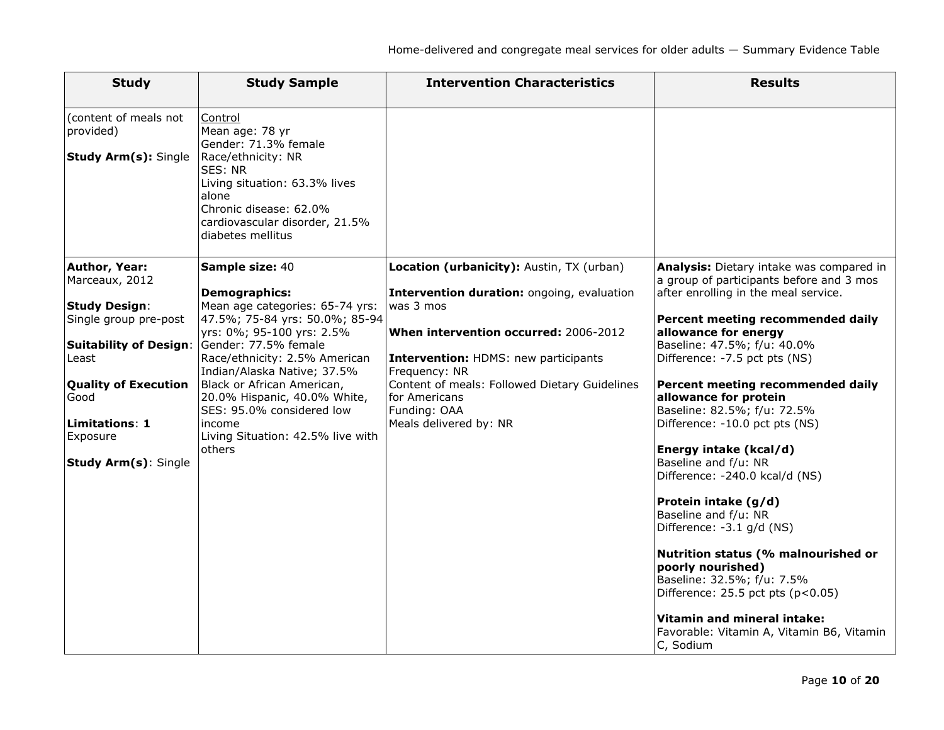| <b>Study</b>                                                                                                                                                                                                                   | <b>Study Sample</b>                                                                                                                                                                                                                                                                                                                                                                   | <b>Intervention Characteristics</b>                                                                                                                                                                                                                                                                                       | <b>Results</b>                                                                                                                                                                                                                                                                                                                                                                                                                                                                                                                                                                                                                                                                                                                                                                            |
|--------------------------------------------------------------------------------------------------------------------------------------------------------------------------------------------------------------------------------|---------------------------------------------------------------------------------------------------------------------------------------------------------------------------------------------------------------------------------------------------------------------------------------------------------------------------------------------------------------------------------------|---------------------------------------------------------------------------------------------------------------------------------------------------------------------------------------------------------------------------------------------------------------------------------------------------------------------------|-------------------------------------------------------------------------------------------------------------------------------------------------------------------------------------------------------------------------------------------------------------------------------------------------------------------------------------------------------------------------------------------------------------------------------------------------------------------------------------------------------------------------------------------------------------------------------------------------------------------------------------------------------------------------------------------------------------------------------------------------------------------------------------------|
| (content of meals not<br>provided)<br><b>Study Arm(s): Single</b>                                                                                                                                                              | Control<br>Mean age: 78 yr<br>Gender: 71.3% female<br>Race/ethnicity: NR<br>SES: NR<br>Living situation: 63.3% lives<br>alone<br>Chronic disease: 62.0%<br>cardiovascular disorder, 21.5%<br>diabetes mellitus                                                                                                                                                                        |                                                                                                                                                                                                                                                                                                                           |                                                                                                                                                                                                                                                                                                                                                                                                                                                                                                                                                                                                                                                                                                                                                                                           |
| Author, Year:<br>Marceaux, 2012<br><b>Study Design:</b><br>Single group pre-post<br><b>Suitability of Design:</b><br>Least<br><b>Quality of Execution</b><br>Good<br>Limitations: 1<br>Exposure<br><b>Study Arm(s): Single</b> | Sample size: 40<br><b>Demographics:</b><br>Mean age categories: 65-74 yrs:<br>47.5%; 75-84 yrs: 50.0%; 85-94<br>yrs: 0%; 95-100 yrs: 2.5%<br>Gender: 77.5% female<br>Race/ethnicity: 2.5% American<br>Indian/Alaska Native; 37.5%<br>Black or African American,<br>20.0% Hispanic, 40.0% White,<br>SES: 95.0% considered low<br>income<br>Living Situation: 42.5% live with<br>others | Location (urbanicity): Austin, TX (urban)<br>Intervention duration: ongoing, evaluation<br>was 3 mos<br>When intervention occurred: 2006-2012<br><b>Intervention: HDMS: new participants</b><br>Frequency: NR<br>Content of meals: Followed Dietary Guidelines<br>for Americans<br>Funding: OAA<br>Meals delivered by: NR | Analysis: Dietary intake was compared in<br>a group of participants before and 3 mos<br>after enrolling in the meal service.<br>Percent meeting recommended daily<br>allowance for energy<br>Baseline: 47.5%; f/u: 40.0%<br>Difference: -7.5 pct pts (NS)<br>Percent meeting recommended daily<br>allowance for protein<br>Baseline: 82.5%; f/u: 72.5%<br>Difference: -10.0 pct pts (NS)<br>Energy intake (kcal/d)<br>Baseline and f/u: NR<br>Difference: -240.0 kcal/d (NS)<br>Protein intake (g/d)<br>Baseline and f/u: NR<br>Difference: -3.1 g/d (NS)<br>Nutrition status (% malnourished or<br>poorly nourished)<br>Baseline: 32.5%; f/u: 7.5%<br>Difference: $25.5$ pct pts ( $p < 0.05$ )<br>Vitamin and mineral intake:<br>Favorable: Vitamin A, Vitamin B6, Vitamin<br>C, Sodium |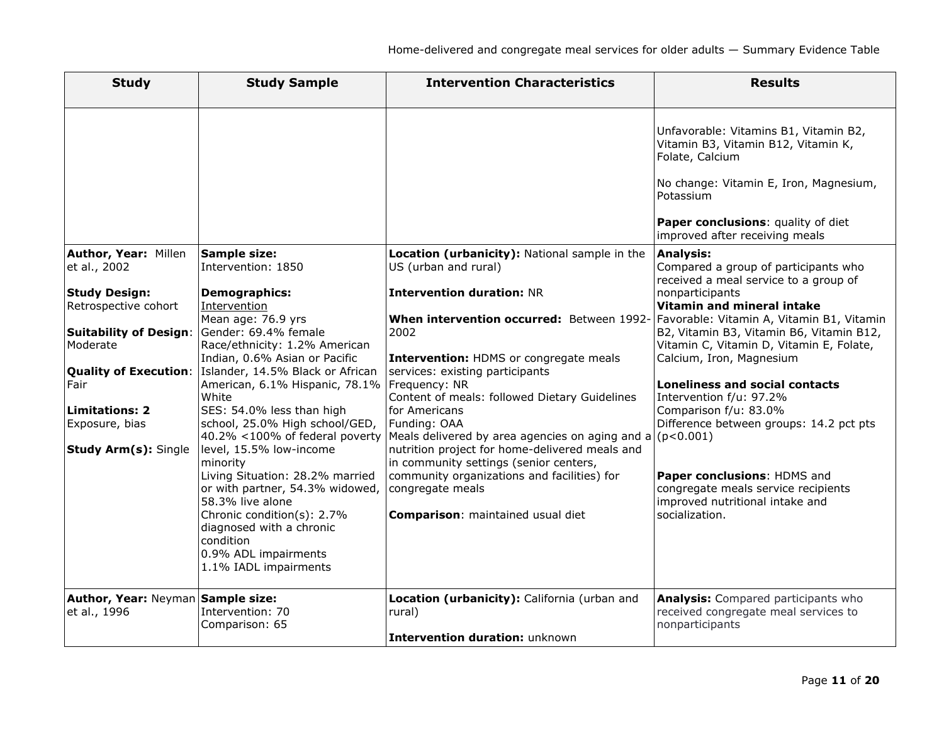| <b>Study</b>                                      | <b>Study Sample</b>                                                                                                                                                                                  | <b>Intervention Characteristics</b>                                                                                                                                                                     | <b>Results</b>                                                                                                          |
|---------------------------------------------------|------------------------------------------------------------------------------------------------------------------------------------------------------------------------------------------------------|---------------------------------------------------------------------------------------------------------------------------------------------------------------------------------------------------------|-------------------------------------------------------------------------------------------------------------------------|
|                                                   |                                                                                                                                                                                                      |                                                                                                                                                                                                         | Unfavorable: Vitamins B1, Vitamin B2,<br>Vitamin B3, Vitamin B12, Vitamin K,<br>Folate, Calcium                         |
|                                                   |                                                                                                                                                                                                      |                                                                                                                                                                                                         | No change: Vitamin E, Iron, Magnesium,<br>Potassium                                                                     |
|                                                   |                                                                                                                                                                                                      |                                                                                                                                                                                                         | Paper conclusions: quality of diet<br>improved after receiving meals                                                    |
| Author, Year: Millen<br>et al., 2002              | Sample size:<br>Intervention: 1850                                                                                                                                                                   | Location (urbanicity): National sample in the<br>US (urban and rural)                                                                                                                                   | <b>Analysis:</b><br>Compared a group of participants who<br>received a meal service to a group of                       |
| <b>Study Design:</b><br>Retrospective cohort      | <b>Demographics:</b><br>Intervention<br>Mean age: 76.9 yrs                                                                                                                                           | <b>Intervention duration: NR</b><br>When intervention occurred: Between 1992-                                                                                                                           | nonparticipants<br>Vitamin and mineral intake<br>Favorable: Vitamin A, Vitamin B1, Vitamin                              |
| <b>Suitability of Design:</b><br>Moderate         | Gender: 69.4% female<br>Race/ethnicity: 1.2% American<br>Indian, 0.6% Asian or Pacific                                                                                                               | 2002<br><b>Intervention: HDMS or congregate meals</b>                                                                                                                                                   | B2, Vitamin B3, Vitamin B6, Vitamin B12,<br>Vitamin C, Vitamin D, Vitamin E, Folate,<br>Calcium, Iron, Magnesium        |
| <b>Quality of Execution:</b><br>Fair              | Islander, 14.5% Black or African<br>American, 6.1% Hispanic, 78.1% Frequency: NR<br>White                                                                                                            | services: existing participants<br>Content of meals: followed Dietary Guidelines                                                                                                                        | <b>Loneliness and social contacts</b><br>Intervention f/u: 97.2%                                                        |
| <b>Limitations: 2</b><br>Exposure, bias           | SES: 54.0% less than high<br>school, 25.0% High school/GED,                                                                                                                                          | for Americans<br>Funding: OAA<br>$ 40.2\% $ <100% of federal poverty  Meals delivered by area agencies on aging and a                                                                                   | Comparison f/u: 83.0%<br>Difference between groups: 14.2 pct pts<br>(p<0.001)                                           |
| <b>Study Arm(s): Single</b>                       | level, 15.5% low-income<br>minority<br>Living Situation: 28.2% married<br>or with partner, 54.3% widowed,<br>58.3% live alone<br>Chronic condition(s): 2.7%<br>diagnosed with a chronic<br>condition | nutrition project for home-delivered meals and<br>in community settings (senior centers,<br>community organizations and facilities) for<br>congregate meals<br><b>Comparison:</b> maintained usual diet | Paper conclusions: HDMS and<br>congregate meals service recipients<br>improved nutritional intake and<br>socialization. |
|                                                   | 0.9% ADL impairments<br>1.1% IADL impairments                                                                                                                                                        |                                                                                                                                                                                                         |                                                                                                                         |
| Author, Year: Neyman Sample size:<br>et al., 1996 | Intervention: 70<br>Comparison: 65                                                                                                                                                                   | Location (urbanicity): California (urban and<br>rural)<br>Intervention duration: unknown                                                                                                                | <b>Analysis:</b> Compared participants who<br>received congregate meal services to<br>nonparticipants                   |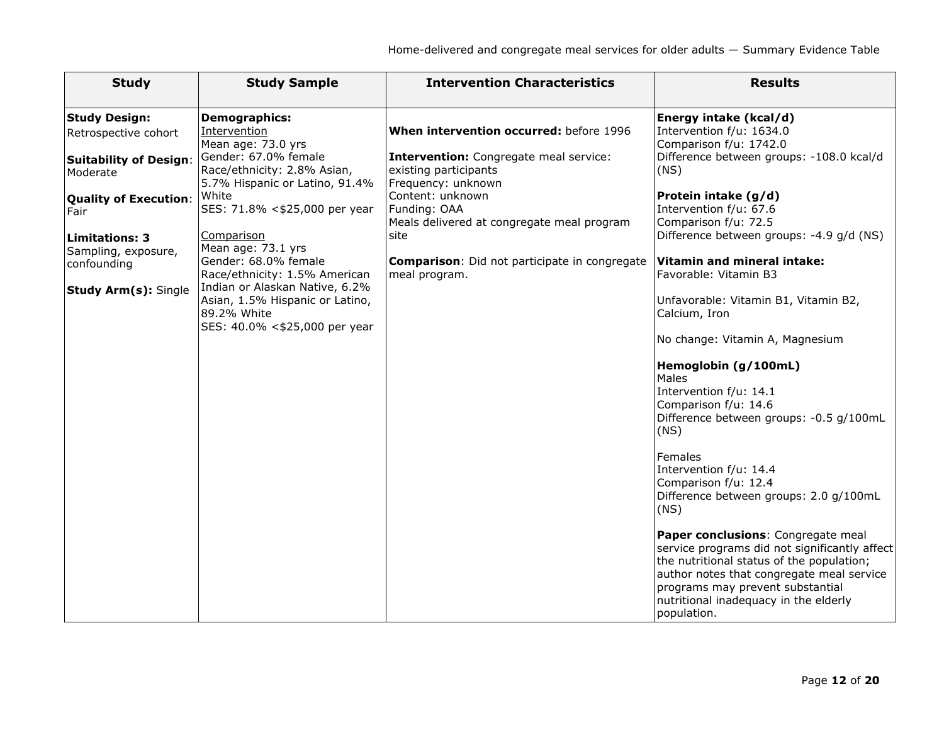| <b>Study Design:</b><br><b>Demographics:</b><br>Energy intake (kcal/d)<br>When intervention occurred: before 1996<br>Intervention<br>Intervention f/u: 1634.0<br>Retrospective cohort<br>Mean age: 73.0 yrs<br>Comparison f/u: 1742.0<br>Gender: 67.0% female<br>Difference between groups: -108.0 kcal/d<br><b>Intervention:</b> Congregate meal service:<br><b>Suitability of Design:</b><br>Race/ethnicity: 2.8% Asian,<br>existing participants<br>(NS)<br>Moderate<br>5.7% Hispanic or Latino, 91.4%<br>Frequency: unknown<br>Content: unknown<br>White<br>Protein intake (g/d)<br><b>Quality of Execution:</b><br>SES: 71.8% <\$25,000 per year<br>Funding: OAA<br>Intervention f/u: 67.6<br>Fair<br>Comparison f/u: 72.5<br>Meals delivered at congregate meal program<br>Difference between groups: -4.9 g/d (NS)<br>Comparison<br>site<br><b>Limitations: 3</b><br>Mean age: 73.1 yrs<br>Sampling, exposure,<br>Gender: 68.0% female<br><b>Vitamin and mineral intake:</b><br><b>Comparison</b> : Did not participate in congregate<br>confounding<br>Race/ethnicity: 1.5% American<br>Favorable: Vitamin B3<br>meal program.<br>Indian or Alaskan Native, 6.2%<br><b>Study Arm(s): Single</b><br>Asian, 1.5% Hispanic or Latino,<br>Unfavorable: Vitamin B1, Vitamin B2,<br>89.2% White<br>Calcium, Iron<br>SES: 40.0% <\$25,000 per year<br>No change: Vitamin A, Magnesium<br>Hemoglobin (g/100mL)<br>Males<br>Intervention f/u: 14.1<br>Comparison f/u: 14.6 |
|---------------------------------------------------------------------------------------------------------------------------------------------------------------------------------------------------------------------------------------------------------------------------------------------------------------------------------------------------------------------------------------------------------------------------------------------------------------------------------------------------------------------------------------------------------------------------------------------------------------------------------------------------------------------------------------------------------------------------------------------------------------------------------------------------------------------------------------------------------------------------------------------------------------------------------------------------------------------------------------------------------------------------------------------------------------------------------------------------------------------------------------------------------------------------------------------------------------------------------------------------------------------------------------------------------------------------------------------------------------------------------------------------------------------------------------------------------------------------|
|                                                                                                                                                                                                                                                                                                                                                                                                                                                                                                                                                                                                                                                                                                                                                                                                                                                                                                                                                                                                                                                                                                                                                                                                                                                                                                                                                                                                                                                                           |
|                                                                                                                                                                                                                                                                                                                                                                                                                                                                                                                                                                                                                                                                                                                                                                                                                                                                                                                                                                                                                                                                                                                                                                                                                                                                                                                                                                                                                                                                           |
|                                                                                                                                                                                                                                                                                                                                                                                                                                                                                                                                                                                                                                                                                                                                                                                                                                                                                                                                                                                                                                                                                                                                                                                                                                                                                                                                                                                                                                                                           |
|                                                                                                                                                                                                                                                                                                                                                                                                                                                                                                                                                                                                                                                                                                                                                                                                                                                                                                                                                                                                                                                                                                                                                                                                                                                                                                                                                                                                                                                                           |
|                                                                                                                                                                                                                                                                                                                                                                                                                                                                                                                                                                                                                                                                                                                                                                                                                                                                                                                                                                                                                                                                                                                                                                                                                                                                                                                                                                                                                                                                           |
|                                                                                                                                                                                                                                                                                                                                                                                                                                                                                                                                                                                                                                                                                                                                                                                                                                                                                                                                                                                                                                                                                                                                                                                                                                                                                                                                                                                                                                                                           |
|                                                                                                                                                                                                                                                                                                                                                                                                                                                                                                                                                                                                                                                                                                                                                                                                                                                                                                                                                                                                                                                                                                                                                                                                                                                                                                                                                                                                                                                                           |
|                                                                                                                                                                                                                                                                                                                                                                                                                                                                                                                                                                                                                                                                                                                                                                                                                                                                                                                                                                                                                                                                                                                                                                                                                                                                                                                                                                                                                                                                           |
|                                                                                                                                                                                                                                                                                                                                                                                                                                                                                                                                                                                                                                                                                                                                                                                                                                                                                                                                                                                                                                                                                                                                                                                                                                                                                                                                                                                                                                                                           |
|                                                                                                                                                                                                                                                                                                                                                                                                                                                                                                                                                                                                                                                                                                                                                                                                                                                                                                                                                                                                                                                                                                                                                                                                                                                                                                                                                                                                                                                                           |
|                                                                                                                                                                                                                                                                                                                                                                                                                                                                                                                                                                                                                                                                                                                                                                                                                                                                                                                                                                                                                                                                                                                                                                                                                                                                                                                                                                                                                                                                           |
|                                                                                                                                                                                                                                                                                                                                                                                                                                                                                                                                                                                                                                                                                                                                                                                                                                                                                                                                                                                                                                                                                                                                                                                                                                                                                                                                                                                                                                                                           |
|                                                                                                                                                                                                                                                                                                                                                                                                                                                                                                                                                                                                                                                                                                                                                                                                                                                                                                                                                                                                                                                                                                                                                                                                                                                                                                                                                                                                                                                                           |
|                                                                                                                                                                                                                                                                                                                                                                                                                                                                                                                                                                                                                                                                                                                                                                                                                                                                                                                                                                                                                                                                                                                                                                                                                                                                                                                                                                                                                                                                           |
|                                                                                                                                                                                                                                                                                                                                                                                                                                                                                                                                                                                                                                                                                                                                                                                                                                                                                                                                                                                                                                                                                                                                                                                                                                                                                                                                                                                                                                                                           |
|                                                                                                                                                                                                                                                                                                                                                                                                                                                                                                                                                                                                                                                                                                                                                                                                                                                                                                                                                                                                                                                                                                                                                                                                                                                                                                                                                                                                                                                                           |
|                                                                                                                                                                                                                                                                                                                                                                                                                                                                                                                                                                                                                                                                                                                                                                                                                                                                                                                                                                                                                                                                                                                                                                                                                                                                                                                                                                                                                                                                           |
|                                                                                                                                                                                                                                                                                                                                                                                                                                                                                                                                                                                                                                                                                                                                                                                                                                                                                                                                                                                                                                                                                                                                                                                                                                                                                                                                                                                                                                                                           |
|                                                                                                                                                                                                                                                                                                                                                                                                                                                                                                                                                                                                                                                                                                                                                                                                                                                                                                                                                                                                                                                                                                                                                                                                                                                                                                                                                                                                                                                                           |
|                                                                                                                                                                                                                                                                                                                                                                                                                                                                                                                                                                                                                                                                                                                                                                                                                                                                                                                                                                                                                                                                                                                                                                                                                                                                                                                                                                                                                                                                           |
|                                                                                                                                                                                                                                                                                                                                                                                                                                                                                                                                                                                                                                                                                                                                                                                                                                                                                                                                                                                                                                                                                                                                                                                                                                                                                                                                                                                                                                                                           |
| Difference between groups: -0.5 g/100mL                                                                                                                                                                                                                                                                                                                                                                                                                                                                                                                                                                                                                                                                                                                                                                                                                                                                                                                                                                                                                                                                                                                                                                                                                                                                                                                                                                                                                                   |
| (NS)                                                                                                                                                                                                                                                                                                                                                                                                                                                                                                                                                                                                                                                                                                                                                                                                                                                                                                                                                                                                                                                                                                                                                                                                                                                                                                                                                                                                                                                                      |
| Females                                                                                                                                                                                                                                                                                                                                                                                                                                                                                                                                                                                                                                                                                                                                                                                                                                                                                                                                                                                                                                                                                                                                                                                                                                                                                                                                                                                                                                                                   |
| Intervention f/u: 14.4                                                                                                                                                                                                                                                                                                                                                                                                                                                                                                                                                                                                                                                                                                                                                                                                                                                                                                                                                                                                                                                                                                                                                                                                                                                                                                                                                                                                                                                    |
| Comparison f/u: 12.4                                                                                                                                                                                                                                                                                                                                                                                                                                                                                                                                                                                                                                                                                                                                                                                                                                                                                                                                                                                                                                                                                                                                                                                                                                                                                                                                                                                                                                                      |
| Difference between groups: 2.0 g/100mL                                                                                                                                                                                                                                                                                                                                                                                                                                                                                                                                                                                                                                                                                                                                                                                                                                                                                                                                                                                                                                                                                                                                                                                                                                                                                                                                                                                                                                    |
| (NS)                                                                                                                                                                                                                                                                                                                                                                                                                                                                                                                                                                                                                                                                                                                                                                                                                                                                                                                                                                                                                                                                                                                                                                                                                                                                                                                                                                                                                                                                      |
|                                                                                                                                                                                                                                                                                                                                                                                                                                                                                                                                                                                                                                                                                                                                                                                                                                                                                                                                                                                                                                                                                                                                                                                                                                                                                                                                                                                                                                                                           |
| Paper conclusions: Congregate meal                                                                                                                                                                                                                                                                                                                                                                                                                                                                                                                                                                                                                                                                                                                                                                                                                                                                                                                                                                                                                                                                                                                                                                                                                                                                                                                                                                                                                                        |
| service programs did not significantly affect                                                                                                                                                                                                                                                                                                                                                                                                                                                                                                                                                                                                                                                                                                                                                                                                                                                                                                                                                                                                                                                                                                                                                                                                                                                                                                                                                                                                                             |
| the nutritional status of the population;                                                                                                                                                                                                                                                                                                                                                                                                                                                                                                                                                                                                                                                                                                                                                                                                                                                                                                                                                                                                                                                                                                                                                                                                                                                                                                                                                                                                                                 |
| author notes that congregate meal service                                                                                                                                                                                                                                                                                                                                                                                                                                                                                                                                                                                                                                                                                                                                                                                                                                                                                                                                                                                                                                                                                                                                                                                                                                                                                                                                                                                                                                 |
| programs may prevent substantial<br>nutritional inadequacy in the elderly                                                                                                                                                                                                                                                                                                                                                                                                                                                                                                                                                                                                                                                                                                                                                                                                                                                                                                                                                                                                                                                                                                                                                                                                                                                                                                                                                                                                 |
| population.                                                                                                                                                                                                                                                                                                                                                                                                                                                                                                                                                                                                                                                                                                                                                                                                                                                                                                                                                                                                                                                                                                                                                                                                                                                                                                                                                                                                                                                               |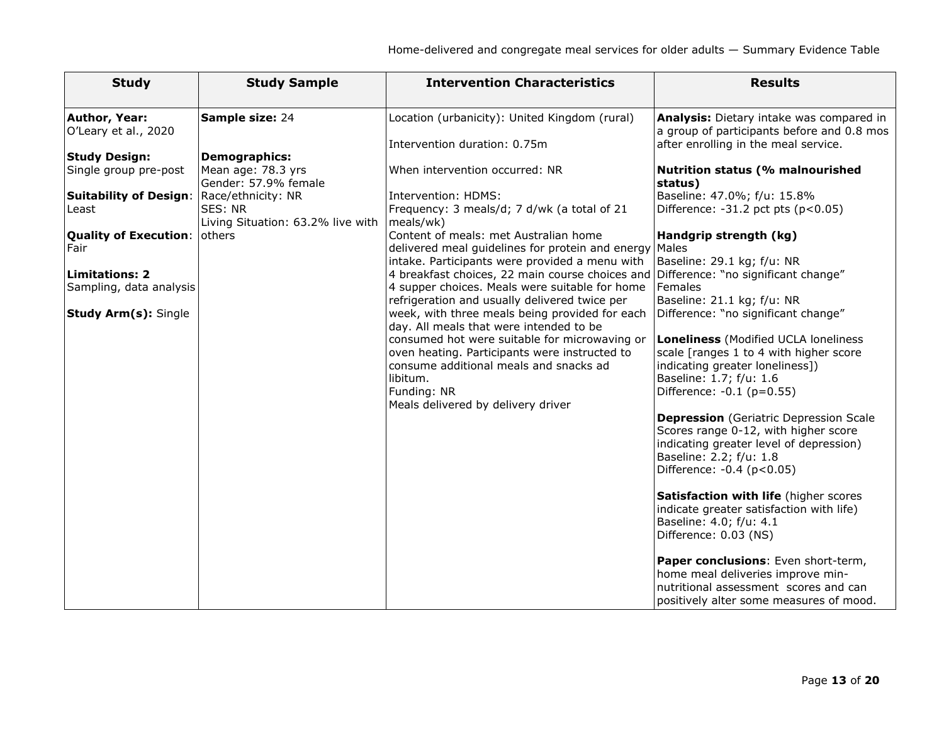| <b>Study</b>                                     | <b>Study Sample</b>                                                | <b>Intervention Characteristics</b>                                                                                                                  | <b>Results</b>                                                                                                                                                                           |
|--------------------------------------------------|--------------------------------------------------------------------|------------------------------------------------------------------------------------------------------------------------------------------------------|------------------------------------------------------------------------------------------------------------------------------------------------------------------------------------------|
| <b>Author, Year:</b>                             | <b>Sample size: 24</b>                                             | Location (urbanicity): United Kingdom (rural)                                                                                                        | Analysis: Dietary intake was compared in                                                                                                                                                 |
| O'Leary et al., 2020                             |                                                                    | Intervention duration: 0.75m                                                                                                                         | a group of participants before and 0.8 mos<br>after enrolling in the meal service.                                                                                                       |
| <b>Study Design:</b><br>Single group pre-post    | Demographics:<br>Mean age: 78.3 yrs<br>Gender: 57.9% female        | When intervention occurred: NR                                                                                                                       | <b>Nutrition status (% malnourished</b><br>status)                                                                                                                                       |
| <b>Suitability of Design:</b><br>Least           | Race/ethnicity: NR<br>SES: NR<br>Living Situation: 63.2% live with | Intervention: HDMS:<br>Frequency: 3 meals/d; 7 d/wk (a total of 21<br>meals/wk)                                                                      | Baseline: 47.0%; f/u: 15.8%<br>Difference: $-31.2$ pct pts ( $p<0.05$ )                                                                                                                  |
| <b>Quality of Execution: others</b><br>Fair      |                                                                    | Content of meals: met Australian home<br>delivered meal guidelines for protein and energy Males<br>intake. Participants were provided a menu with    | Handgrip strength (kg)<br>Baseline: 29.1 kg; f/u: NR                                                                                                                                     |
| <b>Limitations: 2</b><br>Sampling, data analysis |                                                                    | 4 breakfast choices, 22 main course choices and<br>4 supper choices. Meals were suitable for home<br>refrigeration and usually delivered twice per   | Difference: "no significant change"<br>Females<br>Baseline: 21.1 kg; f/u: NR                                                                                                             |
| <b>Study Arm(s): Single</b>                      |                                                                    | week, with three meals being provided for each<br>day. All meals that were intended to be                                                            | Difference: "no significant change"                                                                                                                                                      |
|                                                  |                                                                    | consumed hot were suitable for microwaving or<br>oven heating. Participants were instructed to<br>consume additional meals and snacks ad<br>libitum. | Loneliness (Modified UCLA loneliness<br>scale [ranges 1 to 4 with higher score<br>indicating greater loneliness])<br>Baseline: 1.7; f/u: 1.6                                             |
|                                                  |                                                                    | Funding: NR<br>Meals delivered by delivery driver                                                                                                    | Difference: -0.1 (p=0.55)                                                                                                                                                                |
|                                                  |                                                                    |                                                                                                                                                      | <b>Depression</b> (Geriatric Depression Scale<br>Scores range 0-12, with higher score<br>indicating greater level of depression)<br>Baseline: 2.2; f/u: 1.8<br>Difference: -0.4 (p<0.05) |
|                                                  |                                                                    |                                                                                                                                                      | Satisfaction with life (higher scores<br>indicate greater satisfaction with life)<br>Baseline: 4.0; f/u: 4.1<br>Difference: 0.03 (NS)                                                    |
|                                                  |                                                                    |                                                                                                                                                      | Paper conclusions: Even short-term,<br>home meal deliveries improve min-<br>nutritional assessment scores and can<br>positively alter some measures of mood.                             |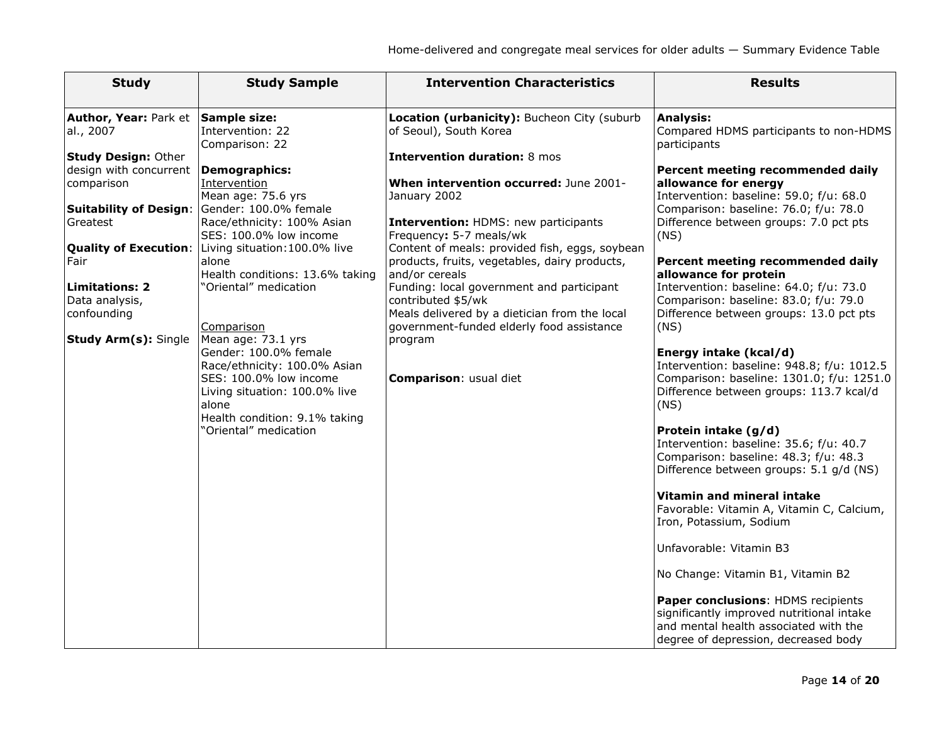| <b>Study</b>                                                                                                                                                                                                                                            | <b>Study Sample</b>                                                                                                                                                                                                                                                                                     | <b>Intervention Characteristics</b>                                                                                                                                                                                                                                                                                                                                                                                                                                                | <b>Results</b>                                                                                                                                                                                                                                                                                                                                                                                                                                                                                                                                                                                                                        |
|---------------------------------------------------------------------------------------------------------------------------------------------------------------------------------------------------------------------------------------------------------|---------------------------------------------------------------------------------------------------------------------------------------------------------------------------------------------------------------------------------------------------------------------------------------------------------|------------------------------------------------------------------------------------------------------------------------------------------------------------------------------------------------------------------------------------------------------------------------------------------------------------------------------------------------------------------------------------------------------------------------------------------------------------------------------------|---------------------------------------------------------------------------------------------------------------------------------------------------------------------------------------------------------------------------------------------------------------------------------------------------------------------------------------------------------------------------------------------------------------------------------------------------------------------------------------------------------------------------------------------------------------------------------------------------------------------------------------|
| Author, Year: Park et<br>al., 2007<br><b>Study Design: Other</b><br>design with concurrent<br>comparison<br><b>Suitability of Design:</b><br>Greatest<br><b>Quality of Execution:</b><br>Fair<br><b>Limitations: 2</b><br>Data analysis,<br>confounding | Sample size:<br>Intervention: 22<br>Comparison: 22<br><b>Demographics:</b><br>Intervention<br>Mean age: 75.6 yrs<br>Gender: 100.0% female<br>Race/ethnicity: 100% Asian<br>SES: 100.0% low income<br>Living situation: 100.0% live<br>alone<br>Health conditions: 13.6% taking<br>'Oriental" medication | Location (urbanicity): Bucheon City (suburb<br>of Seoul), South Korea<br><b>Intervention duration: 8 mos</b><br>When intervention occurred: June 2001-<br>January 2002<br>Intervention: HDMS: new participants<br>Frequency: 5-7 meals/wk<br>Content of meals: provided fish, eggs, soybean<br>products, fruits, vegetables, dairy products,<br>and/or cereals<br>Funding: local government and participant<br>contributed \$5/wk<br>Meals delivered by a dietician from the local | <b>Analysis:</b><br>Compared HDMS participants to non-HDMS<br>participants<br>Percent meeting recommended daily<br>allowance for energy<br>Intervention: baseline: 59.0; f/u: 68.0<br>Comparison: baseline: 76.0; f/u: 78.0<br>Difference between groups: 7.0 pct pts<br>(NS)<br>Percent meeting recommended daily<br>allowance for protein<br>Intervention: baseline: 64.0; f/u: 73.0<br>Comparison: baseline: 83.0; f/u: 79.0<br>Difference between groups: 13.0 pct pts                                                                                                                                                            |
| <b>Study Arm(s): Single</b>                                                                                                                                                                                                                             | Comparison<br>Mean age: 73.1 yrs<br>Gender: 100.0% female<br>Race/ethnicity: 100.0% Asian<br>SES: 100.0% low income<br>Living situation: 100.0% live<br>alone<br>Health condition: 9.1% taking<br>"Oriental" medication                                                                                 | government-funded elderly food assistance<br>program<br>Comparison: usual diet                                                                                                                                                                                                                                                                                                                                                                                                     | (NS)<br>Energy intake (kcal/d)<br>Intervention: baseline: 948.8; f/u: 1012.5<br>Comparison: baseline: 1301.0; f/u: 1251.0<br>Difference between groups: 113.7 kcal/d<br>(NS)<br>Protein intake (g/d)<br>Intervention: baseline: 35.6; f/u: 40.7<br>Comparison: baseline: 48.3; f/u: 48.3<br>Difference between groups: 5.1 g/d (NS)<br>Vitamin and mineral intake<br>Favorable: Vitamin A, Vitamin C, Calcium,<br>Iron, Potassium, Sodium<br>Unfavorable: Vitamin B3<br>No Change: Vitamin B1, Vitamin B2<br>Paper conclusions: HDMS recipients<br>significantly improved nutritional intake<br>and mental health associated with the |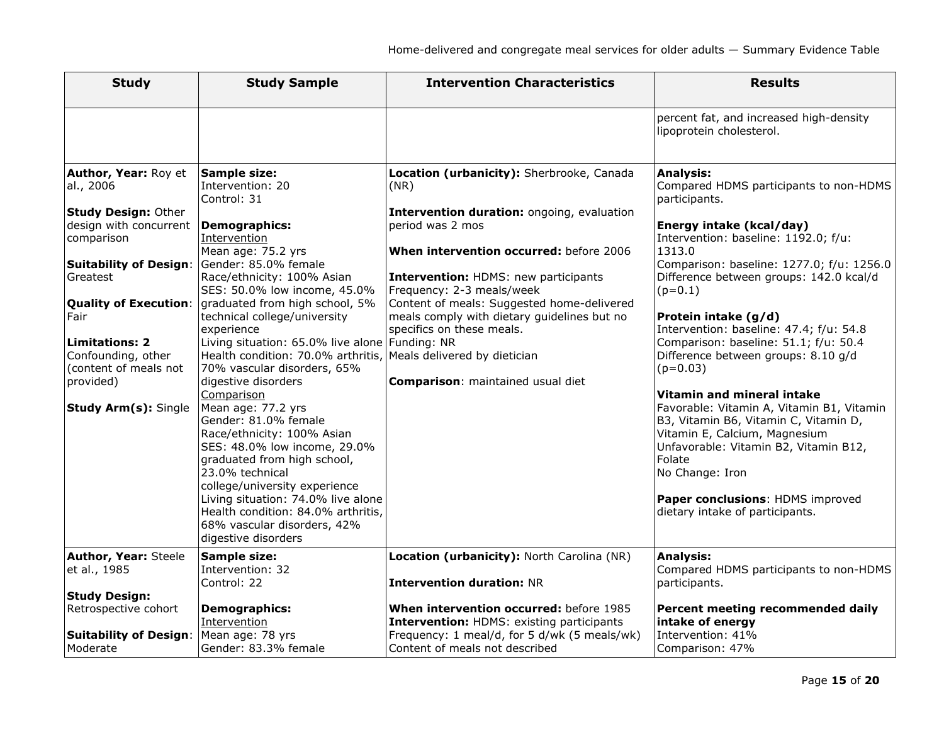| <b>Study</b>                                                                                                                                                                                                                                                                                                     | <b>Study Sample</b>                                                                                                                                                                                                                                                                                                                                                                                                                                                                                                                                                                                                                                                                                                                                                                                  | <b>Intervention Characteristics</b>                                                                                                                                                                                                                                                                                                                                                                | <b>Results</b>                                                                                                                                                                                                                                                                                                                                                                                                                                                                                                                                                                                                                                                                                                                    |
|------------------------------------------------------------------------------------------------------------------------------------------------------------------------------------------------------------------------------------------------------------------------------------------------------------------|------------------------------------------------------------------------------------------------------------------------------------------------------------------------------------------------------------------------------------------------------------------------------------------------------------------------------------------------------------------------------------------------------------------------------------------------------------------------------------------------------------------------------------------------------------------------------------------------------------------------------------------------------------------------------------------------------------------------------------------------------------------------------------------------------|----------------------------------------------------------------------------------------------------------------------------------------------------------------------------------------------------------------------------------------------------------------------------------------------------------------------------------------------------------------------------------------------------|-----------------------------------------------------------------------------------------------------------------------------------------------------------------------------------------------------------------------------------------------------------------------------------------------------------------------------------------------------------------------------------------------------------------------------------------------------------------------------------------------------------------------------------------------------------------------------------------------------------------------------------------------------------------------------------------------------------------------------------|
|                                                                                                                                                                                                                                                                                                                  |                                                                                                                                                                                                                                                                                                                                                                                                                                                                                                                                                                                                                                                                                                                                                                                                      |                                                                                                                                                                                                                                                                                                                                                                                                    | percent fat, and increased high-density<br>lipoprotein cholesterol.                                                                                                                                                                                                                                                                                                                                                                                                                                                                                                                                                                                                                                                               |
| Author, Year: Roy et<br>al., 2006<br><b>Study Design: Other</b><br>design with concurrent<br>comparison<br><b>Suitability of Design:</b><br>Greatest<br><b>Quality of Execution:</b><br>Fair<br><b>Limitations: 2</b><br>Confounding, other<br>(content of meals not<br>provided)<br><b>Study Arm(s): Single</b> | <b>Sample size:</b><br>Intervention: 20<br>Control: 31<br><b>Demographics:</b><br><b>Intervention</b><br>Mean age: 75.2 yrs<br>Gender: 85.0% female<br>Race/ethnicity: 100% Asian<br>SES: 50.0% low income, 45.0%<br>graduated from high school, 5%<br>technical college/university<br>experience<br>Living situation: 65.0% live alone Funding: NR<br>Health condition: 70.0% arthritis, Meals delivered by dietician<br>70% vascular disorders, 65%<br>digestive disorders<br>Comparison<br>Mean age: 77.2 yrs<br>Gender: 81.0% female<br>Race/ethnicity: 100% Asian<br>SES: 48.0% low income, 29.0%<br>graduated from high school,<br>23.0% technical<br>college/university experience<br>Living situation: 74.0% live alone<br>Health condition: 84.0% arthritis,<br>68% vascular disorders, 42% | Location (urbanicity): Sherbrooke, Canada<br>(NR)<br>Intervention duration: ongoing, evaluation<br>period was 2 mos<br>When intervention occurred: before 2006<br>Intervention: HDMS: new participants<br>Frequency: 2-3 meals/week<br>Content of meals: Suggested home-delivered<br>meals comply with dietary guidelines but no<br>specifics on these meals.<br>Comparison: maintained usual diet | <b>Analysis:</b><br>Compared HDMS participants to non-HDMS<br>participants.<br>Energy intake (kcal/day)<br>Intervention: baseline: 1192.0; f/u:<br>1313.0<br>Comparison: baseline: 1277.0; f/u: 1256.0<br>Difference between groups: 142.0 kcal/d<br>$(p=0.1)$<br>Protein intake (g/d)<br>Intervention: baseline: 47.4; f/u: 54.8<br>Comparison: baseline: 51.1; f/u: 50.4<br>Difference between groups: 8.10 g/d<br>$(p=0.03)$<br>Vitamin and mineral intake<br>Favorable: Vitamin A, Vitamin B1, Vitamin<br>B3, Vitamin B6, Vitamin C, Vitamin D,<br>Vitamin E, Calcium, Magnesium<br>Unfavorable: Vitamin B2, Vitamin B12,<br>Folate<br>No Change: Iron<br>Paper conclusions: HDMS improved<br>dietary intake of participants. |
| <b>Author, Year: Steele</b><br>et al., 1985                                                                                                                                                                                                                                                                      | digestive disorders<br>Sample size:<br>Intervention: 32<br>Control: 22                                                                                                                                                                                                                                                                                                                                                                                                                                                                                                                                                                                                                                                                                                                               | Location (urbanicity): North Carolina (NR)<br><b>Intervention duration: NR</b>                                                                                                                                                                                                                                                                                                                     | <b>Analysis:</b><br>Compared HDMS participants to non-HDMS<br>participants.                                                                                                                                                                                                                                                                                                                                                                                                                                                                                                                                                                                                                                                       |
| <b>Study Design:</b><br>Retrospective cohort<br><b>Suitability of Design:</b><br>Moderate                                                                                                                                                                                                                        | <b>Demographics:</b><br>Intervention<br>Mean age: 78 yrs<br>Gender: 83.3% female                                                                                                                                                                                                                                                                                                                                                                                                                                                                                                                                                                                                                                                                                                                     | When intervention occurred: before 1985<br><b>Intervention: HDMS: existing participants</b><br>Frequency: 1 meal/d, for 5 d/wk (5 meals/wk)<br>Content of meals not described                                                                                                                                                                                                                      | Percent meeting recommended daily<br>intake of energy<br>Intervention: 41%<br>Comparison: 47%                                                                                                                                                                                                                                                                                                                                                                                                                                                                                                                                                                                                                                     |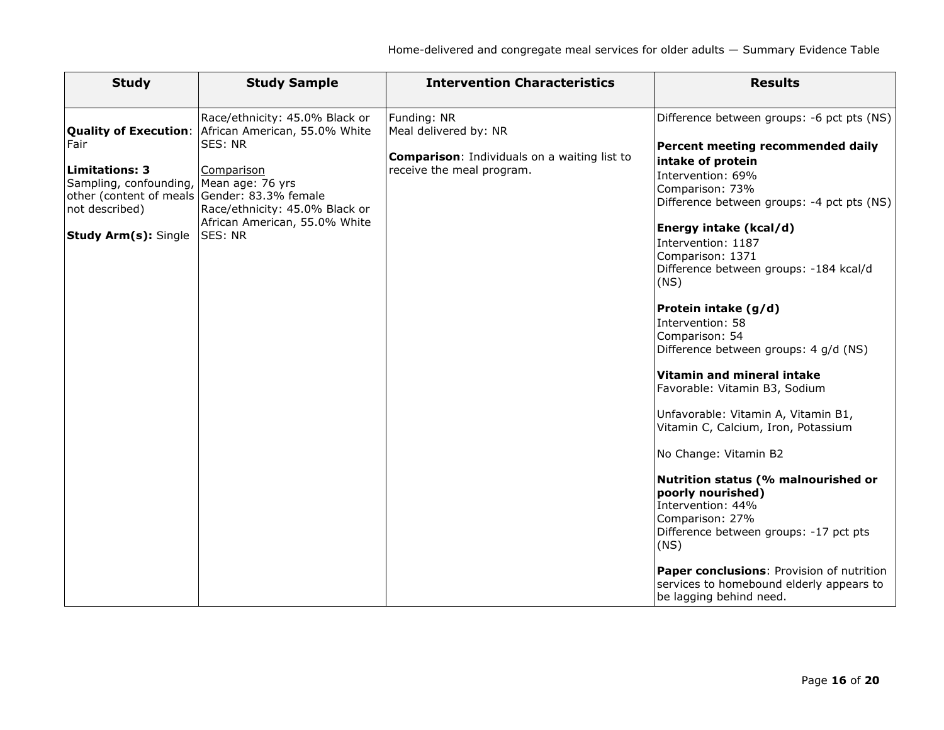| <b>Study</b>                                                                                                                                                                             | <b>Study Sample</b>                                                                                                                                                                        | <b>Intervention Characteristics</b>                                                                                      | <b>Results</b>                                                                                                                                                                                                                                                                                                                                                                                                                                                                                                                                                                                                                                                                                                                                                                                                                               |
|------------------------------------------------------------------------------------------------------------------------------------------------------------------------------------------|--------------------------------------------------------------------------------------------------------------------------------------------------------------------------------------------|--------------------------------------------------------------------------------------------------------------------------|----------------------------------------------------------------------------------------------------------------------------------------------------------------------------------------------------------------------------------------------------------------------------------------------------------------------------------------------------------------------------------------------------------------------------------------------------------------------------------------------------------------------------------------------------------------------------------------------------------------------------------------------------------------------------------------------------------------------------------------------------------------------------------------------------------------------------------------------|
| <b>Quality of Execution:</b><br>Fair<br><b>Limitations: 3</b><br>Sampling, confounding,<br>other (content of meals Gender: 83.3% female<br>not described)<br><b>Study Arm(s):</b> Single | Race/ethnicity: 45.0% Black or<br>African American, 55.0% White<br>SES: NR<br>Comparison<br>Mean age: 76 yrs<br>Race/ethnicity: 45.0% Black or<br>African American, 55.0% White<br>SES: NR | Funding: NR<br>Meal delivered by: NR<br><b>Comparison:</b> Individuals on a waiting list to<br>receive the meal program. | Difference between groups: -6 pct pts (NS)<br>Percent meeting recommended daily<br>intake of protein<br>Intervention: 69%<br>Comparison: 73%<br>Difference between groups: -4 pct pts (NS)<br>Energy intake (kcal/d)<br>Intervention: 1187<br>Comparison: 1371<br>Difference between groups: -184 kcal/d<br>(NS)<br>Protein intake (g/d)<br>Intervention: 58<br>Comparison: 54<br>Difference between groups: 4 g/d (NS)<br>Vitamin and mineral intake<br>Favorable: Vitamin B3, Sodium<br>Unfavorable: Vitamin A, Vitamin B1,<br>Vitamin C, Calcium, Iron, Potassium<br>No Change: Vitamin B2<br>Nutrition status (% malnourished or<br>poorly nourished)<br>Intervention: 44%<br>Comparison: 27%<br>Difference between groups: -17 pct pts<br>(NS)<br>Paper conclusions: Provision of nutrition<br>services to homebound elderly appears to |
|                                                                                                                                                                                          |                                                                                                                                                                                            |                                                                                                                          | be lagging behind need.                                                                                                                                                                                                                                                                                                                                                                                                                                                                                                                                                                                                                                                                                                                                                                                                                      |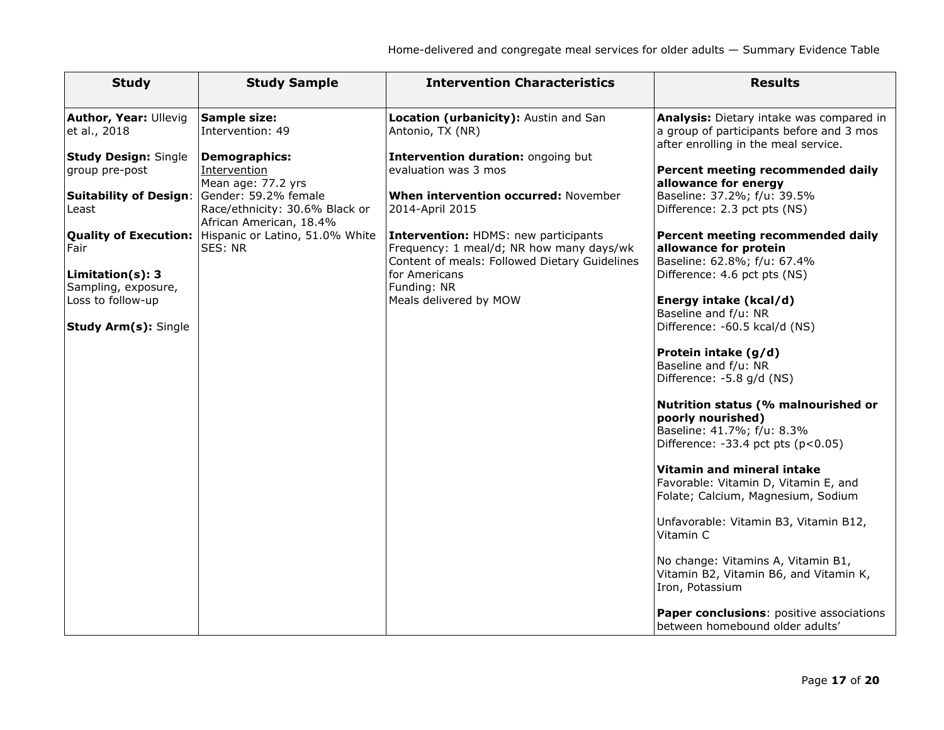| <b>Study</b>                                                 | <b>Study Sample</b>                                                               | <b>Intervention Characteristics</b>                                                                                                      | <b>Results</b>                                                                                                                     |
|--------------------------------------------------------------|-----------------------------------------------------------------------------------|------------------------------------------------------------------------------------------------------------------------------------------|------------------------------------------------------------------------------------------------------------------------------------|
| <b>Author, Year: Ullevig</b><br>et al., 2018                 | <b>Sample size:</b><br>Intervention: 49                                           | Location (urbanicity): Austin and San<br>Antonio, TX (NR)                                                                                | Analysis: Dietary intake was compared in<br>a group of participants before and 3 mos<br>after enrolling in the meal service.       |
| <b>Study Design: Single</b><br>group pre-post                | <b>Demographics:</b><br>Intervention<br>Mean age: 77.2 yrs                        | Intervention duration: ongoing but<br>evaluation was 3 mos                                                                               | Percent meeting recommended daily<br>allowance for energy                                                                          |
| <b>Suitability of Design:</b><br>Least                       | Gender: 59.2% female<br>Race/ethnicity: 30.6% Black or<br>African American, 18.4% | When intervention occurred: November<br>2014-April 2015                                                                                  | Baseline: 37.2%; f/u: 39.5%<br>Difference: 2.3 pct pts (NS)                                                                        |
| <b>Quality of Execution:</b><br>Fair                         | Hispanic or Latino, 51.0% White<br>SES: NR                                        | <b>Intervention: HDMS: new participants</b><br>Frequency: 1 meal/d; NR how many days/wk<br>Content of meals: Followed Dietary Guidelines | Percent meeting recommended daily<br>allowance for protein<br>Baseline: 62.8%; f/u: 67.4%                                          |
| Limitation(s): 3<br>Sampling, exposure,<br>Loss to follow-up |                                                                                   | for Americans<br>Funding: NR<br>Meals delivered by MOW                                                                                   | Difference: 4.6 pct pts (NS)<br>Energy intake (kcal/d)                                                                             |
| <b>Study Arm(s): Single</b>                                  |                                                                                   |                                                                                                                                          | Baseline and f/u: NR<br>Difference: -60.5 kcal/d (NS)                                                                              |
|                                                              |                                                                                   |                                                                                                                                          | Protein intake (g/d)<br>Baseline and f/u: NR<br>Difference: -5.8 g/d (NS)                                                          |
|                                                              |                                                                                   |                                                                                                                                          | Nutrition status (% malnourished or<br>poorly nourished)<br>Baseline: 41.7%; f/u: 8.3%<br>Difference: $-33.4$ pct pts ( $p<0.05$ ) |
|                                                              |                                                                                   |                                                                                                                                          | Vitamin and mineral intake<br>Favorable: Vitamin D, Vitamin E, and<br>Folate; Calcium, Magnesium, Sodium                           |
|                                                              |                                                                                   |                                                                                                                                          | Unfavorable: Vitamin B3, Vitamin B12,<br>Vitamin C                                                                                 |
|                                                              |                                                                                   |                                                                                                                                          | No change: Vitamins A, Vitamin B1,<br>Vitamin B2, Vitamin B6, and Vitamin K,<br>Iron, Potassium                                    |
|                                                              |                                                                                   |                                                                                                                                          | Paper conclusions: positive associations<br>between homebound older adults'                                                        |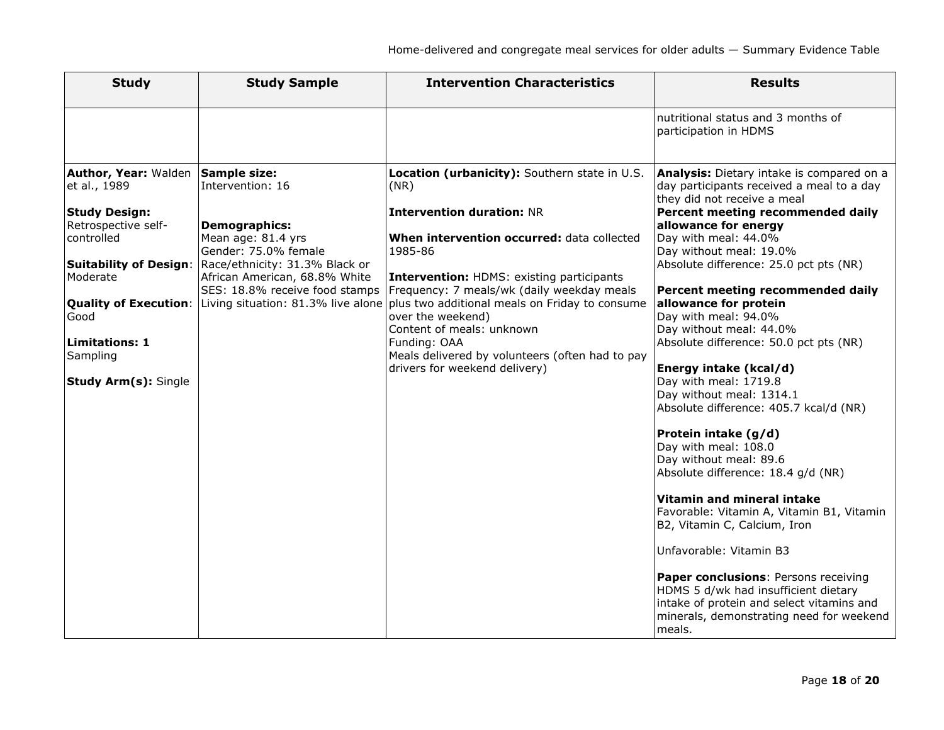| <b>Study</b>                                                                                                                                                                                                                      | <b>Study Sample</b>                                                                                                                                                                                                                                                            | <b>Intervention Characteristics</b>                                                                                                                                                                                                                                                                                                                                                                                                                   | <b>Results</b>                                                                                                                                                                                                                                                                                                                                                                                                                                                                                                                                                                                                                                                                                                                                                                                                                                                                                                                                                                                               |
|-----------------------------------------------------------------------------------------------------------------------------------------------------------------------------------------------------------------------------------|--------------------------------------------------------------------------------------------------------------------------------------------------------------------------------------------------------------------------------------------------------------------------------|-------------------------------------------------------------------------------------------------------------------------------------------------------------------------------------------------------------------------------------------------------------------------------------------------------------------------------------------------------------------------------------------------------------------------------------------------------|--------------------------------------------------------------------------------------------------------------------------------------------------------------------------------------------------------------------------------------------------------------------------------------------------------------------------------------------------------------------------------------------------------------------------------------------------------------------------------------------------------------------------------------------------------------------------------------------------------------------------------------------------------------------------------------------------------------------------------------------------------------------------------------------------------------------------------------------------------------------------------------------------------------------------------------------------------------------------------------------------------------|
|                                                                                                                                                                                                                                   |                                                                                                                                                                                                                                                                                |                                                                                                                                                                                                                                                                                                                                                                                                                                                       | nutritional status and 3 months of<br>participation in HDMS                                                                                                                                                                                                                                                                                                                                                                                                                                                                                                                                                                                                                                                                                                                                                                                                                                                                                                                                                  |
| <b>Author, Year: Walden</b><br>et al., 1989<br><b>Study Design:</b><br>Retrospective self-<br>controlled<br><b>Suitability of Design:</b><br>Moderate<br>Good<br><b>Limitations: 1</b><br>Sampling<br><b>Study Arm(s): Single</b> | <b>Sample size:</b><br>Intervention: 16<br><b>Demographics:</b><br>Mean age: 81.4 yrs<br>Gender: 75.0% female<br>Race/ethnicity: 31.3% Black or<br>African American, 68.8% White<br>SES: 18.8% receive food stamps<br>Quality of Execution: Living situation: 81.3% live alone | Location (urbanicity): Southern state in U.S.<br>(NR)<br><b>Intervention duration: NR</b><br>When intervention occurred: data collected<br>1985-86<br>Intervention: HDMS: existing participants<br>Frequency: 7 meals/wk (daily weekday meals<br>plus two additional meals on Friday to consume<br>over the weekend)<br>Content of meals: unknown<br>Funding: OAA<br>Meals delivered by volunteers (often had to pay<br>drivers for weekend delivery) | Analysis: Dietary intake is compared on a<br>day participants received a meal to a day<br>they did not receive a meal<br>Percent meeting recommended daily<br>allowance for energy<br>Day with meal: 44.0%<br>Day without meal: 19.0%<br>Absolute difference: 25.0 pct pts (NR)<br>Percent meeting recommended daily<br>allowance for protein<br>Day with meal: 94.0%<br>Day without meal: 44.0%<br>Absolute difference: 50.0 pct pts (NR)<br>Energy intake (kcal/d)<br>Day with meal: 1719.8<br>Day without meal: 1314.1<br>Absolute difference: 405.7 kcal/d (NR)<br>Protein intake (g/d)<br>Day with meal: 108.0<br>Day without meal: 89.6<br>Absolute difference: 18.4 g/d (NR)<br>Vitamin and mineral intake<br>Favorable: Vitamin A, Vitamin B1, Vitamin<br>B2, Vitamin C, Calcium, Iron<br>Unfavorable: Vitamin B3<br>Paper conclusions: Persons receiving<br>HDMS 5 d/wk had insufficient dietary<br>intake of protein and select vitamins and<br>minerals, demonstrating need for weekend<br>meals. |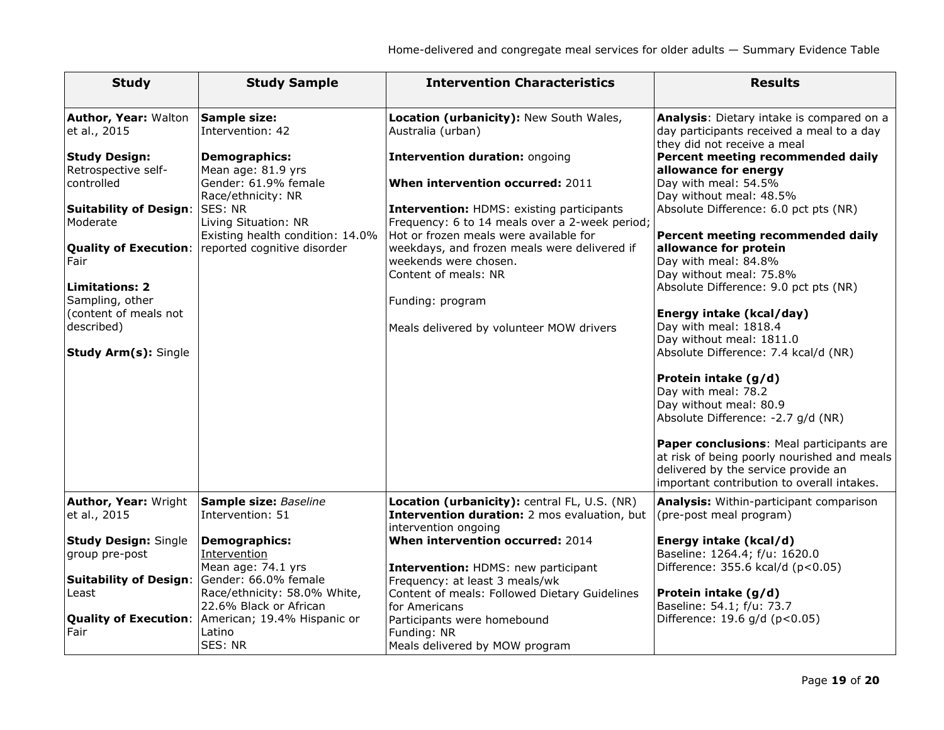| <b>Study</b>                                                                                                                                                                                                                                                      | <b>Study Sample</b>                                                                                                                                                                                                                                                           | <b>Intervention Characteristics</b>                                                                                                                                                                                                                                                                                                                                                                                                                 | <b>Results</b>                                                                                                                                                                                                                                                                                                                                                                                                                                                                                                                                                                                                                                                                                                                                                                                                     |
|-------------------------------------------------------------------------------------------------------------------------------------------------------------------------------------------------------------------------------------------------------------------|-------------------------------------------------------------------------------------------------------------------------------------------------------------------------------------------------------------------------------------------------------------------------------|-----------------------------------------------------------------------------------------------------------------------------------------------------------------------------------------------------------------------------------------------------------------------------------------------------------------------------------------------------------------------------------------------------------------------------------------------------|--------------------------------------------------------------------------------------------------------------------------------------------------------------------------------------------------------------------------------------------------------------------------------------------------------------------------------------------------------------------------------------------------------------------------------------------------------------------------------------------------------------------------------------------------------------------------------------------------------------------------------------------------------------------------------------------------------------------------------------------------------------------------------------------------------------------|
| Author, Year: Walton<br>et al., 2015<br><b>Study Design:</b><br>Retrospective self-<br>controlled<br><b>Suitability of Design:</b><br>Moderate<br>Fair<br><b>Limitations: 2</b><br>Sampling, other<br>(content of meals not<br>described)<br>Study Arm(s): Single | <b>Sample size:</b><br>Intervention: 42<br><b>Demographics:</b><br>Mean age: 81.9 yrs<br>Gender: 61.9% female<br>Race/ethnicity: NR<br><b>SES: NR</b><br>Living Situation: NR<br>Existing health condition: 14.0%<br><b>Quality of Execution:</b> reported cognitive disorder | Location (urbanicity): New South Wales,<br>Australia (urban)<br>Intervention duration: ongoing<br>When intervention occurred: 2011<br><b>Intervention: HDMS: existing participants</b><br>Frequency: 6 to 14 meals over a 2-week period;<br>Hot or frozen meals were available for<br>weekdays, and frozen meals were delivered if<br>weekends were chosen.<br>Content of meals: NR<br>Funding: program<br>Meals delivered by volunteer MOW drivers | Analysis: Dietary intake is compared on a<br>day participants received a meal to a day<br>they did not receive a meal<br>Percent meeting recommended daily<br>allowance for energy<br>Day with meal: 54.5%<br>Day without meal: 48.5%<br>Absolute Difference: 6.0 pct pts (NR)<br>Percent meeting recommended daily<br>allowance for protein<br>Day with meal: 84.8%<br>Day without meal: 75.8%<br>Absolute Difference: 9.0 pct pts (NR)<br>Energy intake (kcal/day)<br>Day with meal: 1818.4<br>Day without meal: 1811.0<br>Absolute Difference: 7.4 kcal/d (NR)<br>Protein intake (g/d)<br>Day with meal: 78.2<br>Day without meal: 80.9<br>Absolute Difference: -2.7 g/d (NR)<br>Paper conclusions: Meal participants are<br>at risk of being poorly nourished and meals<br>delivered by the service provide an |
| Author, Year: Wright<br>et al., 2015                                                                                                                                                                                                                              | Sample size: Baseline<br>Intervention: 51                                                                                                                                                                                                                                     | Location (urbanicity): central FL, U.S. (NR)<br>Intervention duration: 2 mos evaluation, but<br>intervention ongoing                                                                                                                                                                                                                                                                                                                                | important contribution to overall intakes.<br>Analysis: Within-participant comparison<br>(pre-post meal program)                                                                                                                                                                                                                                                                                                                                                                                                                                                                                                                                                                                                                                                                                                   |
| <b>Study Design: Single</b><br>group pre-post                                                                                                                                                                                                                     | <b>Demographics:</b><br>Intervention<br>Mean age: 74.1 yrs                                                                                                                                                                                                                    | When intervention occurred: 2014<br>Intervention: HDMS: new participant                                                                                                                                                                                                                                                                                                                                                                             | Energy intake (kcal/d)<br>Baseline: 1264.4; f/u: 1620.0<br>Difference: 355.6 kcal/d (p<0.05)                                                                                                                                                                                                                                                                                                                                                                                                                                                                                                                                                                                                                                                                                                                       |
| <b>Suitability of Design:</b><br>Least<br><b>Quality of Execution:</b>                                                                                                                                                                                            | Gender: 66.0% female<br>Race/ethnicity: 58.0% White,<br>22.6% Black or African<br>American; 19.4% Hispanic or                                                                                                                                                                 | Frequency: at least 3 meals/wk<br>Content of meals: Followed Dietary Guidelines<br>for Americans<br>Participants were homebound                                                                                                                                                                                                                                                                                                                     | Protein intake (g/d)<br>Baseline: 54.1; f/u: 73.7<br>Difference: 19.6 g/d (p<0.05)                                                                                                                                                                                                                                                                                                                                                                                                                                                                                                                                                                                                                                                                                                                                 |
| Fair                                                                                                                                                                                                                                                              | Latino<br>SES: NR                                                                                                                                                                                                                                                             | Funding: NR<br>Meals delivered by MOW program                                                                                                                                                                                                                                                                                                                                                                                                       |                                                                                                                                                                                                                                                                                                                                                                                                                                                                                                                                                                                                                                                                                                                                                                                                                    |